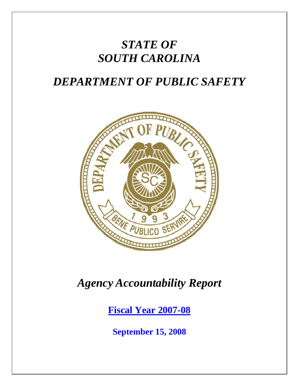# *STATE OF SOUTH CAROLINA*

# *DEPARTMENT OF PUBLIC SAFETY*



*Agency Accountability Report* 

**Fiscal Year 2007-08**

**September 15, 2008**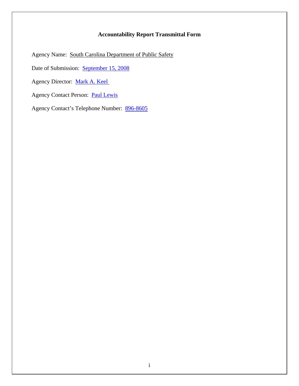### **Accountability Report Transmittal Form**

Agency Name: South Carolina Department of Public Safety

Date of Submission: September 15, 2008

Agency Director: Mark A. Keel

Agency Contact Person: Paul Lewis

Agency Contact's Telephone Number: 896-8605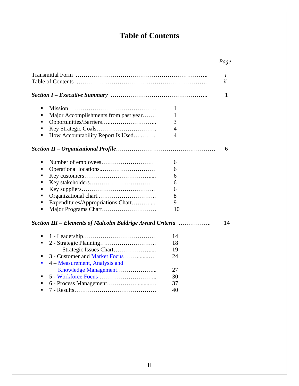# **Table of Contents**

## *Page*

| 1<br>1<br>Major Accomplishments from past year<br>1<br>3<br>$\overline{4}$<br>How Accountability Report Is Used<br>$\overline{4}$<br>٠ |  | i<br>ii |
|----------------------------------------------------------------------------------------------------------------------------------------|--|---------|
|                                                                                                                                        |  |         |
|                                                                                                                                        |  |         |
|                                                                                                                                        |  |         |
|                                                                                                                                        |  |         |
|                                                                                                                                        |  |         |
|                                                                                                                                        |  |         |
| 6                                                                                                                                      |  |         |
| 6<br>п                                                                                                                                 |  |         |
| 6                                                                                                                                      |  |         |
| 6                                                                                                                                      |  |         |
| 6                                                                                                                                      |  |         |
| 6                                                                                                                                      |  |         |
| 8                                                                                                                                      |  |         |
| Expenditures/Appropriations Chart<br>9                                                                                                 |  |         |
| 10                                                                                                                                     |  |         |
| Section III – Elements of Malcolm Baldrige Award Criteria                                                                              |  | 14      |
| 14                                                                                                                                     |  |         |
| 18                                                                                                                                     |  |         |
| 19                                                                                                                                     |  |         |
| 3 - Customer and Market Focus<br>24<br>п                                                                                               |  |         |
| 4 – Measurement, Analysis and<br>$\blacksquare$                                                                                        |  |         |
| Knowledge Management<br>27                                                                                                             |  |         |
| 30                                                                                                                                     |  |         |
| 37<br>٠                                                                                                                                |  |         |
| 40                                                                                                                                     |  |         |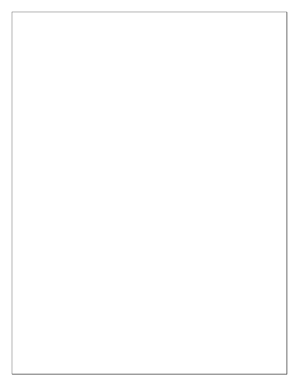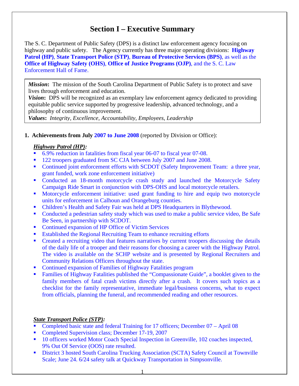# **Section I – Executive Summary**

The S. C. Department of Public Safety (DPS) is a distinct law enforcement agency focusing on highway and public safety. The Agency currently has three major operating divisions: **Highway Patrol (HP)**, **State Transport Police (STP)**, **Bureau of Protective Services (BPS)**, as well as the **Office of Highway Safety (OHS)**, **Office of Justice Programs (OJP)**, and the S. C. Law Enforcement Hall of Fame.

*Mission***:** The mission of the South Carolina Department of Public Safety is to protect and save lives through enforcement and education.

*Vision*: DPS will be recognized as an exemplary law enforcement agency dedicated to providing equitable public service supported by progressive leadership, advanced technology, and a philosophy of continuous improvement.

*Values***:** *Integrity, Excellence, Accountability, Employees, Leadership*

**1. Achievements from July 2007 to June 2008** (reported by Division or Office):

#### *Highway Patrol (HP):*

- 6.9% reduction in fatalities from fiscal year 06-07 to fiscal year 07-08.
- 122 troopers graduated from SC CJA between July 2007 and June 2008.
- Continued joint enforcement efforts with SCDOT (Safety Improvement Team: a three year, grant funded, work zone enforcement initiative)
- Conducted an 18-month motorcycle crash study and launched the Motorcycle Safety Campaign Ride Smart in conjunction with DPS-OHS and local motorcycle retailers.
- Motorcycle enforcement initiative: used grant funding to hire and equip two motorcycle units for enforcement in Calhoun and Orangeburg counties.
- Children's Health and Safety Fair was held at DPS Headquarters in Blythewood.
- Conducted a pedestrian safety study which was used to make a public service video, Be Safe Be Seen, in partnership with SCDOT.
- Continued expansion of HP Office of Victim Services
- Established the Regional Recruiting Team to enhance recruiting efforts
- Created a recruiting video that features narratives by current troopers discussing the details of the daily life of a trooper and their reasons for choosing a career with the Highway Patrol. The video is available on the SCHP website and is presented by Regional Recruiters and Community Relations Officers throughout the state.
- Continued expansion of Families of Highway Fatalities program
- Families of Highway Fatalities published the "Compassionate Guide", a booklet given to the family members of fatal crash victims directly after a crash. It covers such topics as a checklist for the family representative, immediate legal/business concerns, what to expect from officials, planning the funeral, and recommended reading and other resources.

#### *State Transport Police (STP):*

- Completed basic state and federal Training for 17 officers; December 07 April 08
- Completed Supervision class; December 17-19, 2007
- <sup>10</sup> officers worked Motor Coach Special Inspection in Greenville, 102 coaches inspected, 9% Out Of Service (OOS) rate resulted.
- District 3 hosted South Carolina Trucking Association (SCTA) Safety Council at Townville Scale; June 24. 6/24 safety talk at Quickway Transportation in Simpsonville.

1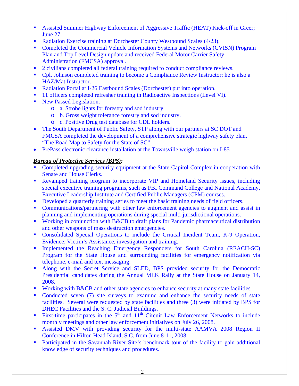- Assisted Summer Highway Enforcement of Aggressive Traffic (HEAT) Kick-off in Greer; June 27
- Radiation Exercise training at Dorchester County Westbound Scales (4/23).
- Completed the Commercial Vehicle Information Systems and Networks (CVISN) Program Plan and Top Level Design update and received Federal Motor Carrier Safety Administration (FMCSA) approval.
- 2 civilians completed all federal training required to conduct compliance reviews.
- Cpl. Johnson completed training to become a Compliance Review Instructor; he is also a HAZ/Mat Instructor.
- Radiation Portal at I-26 Eastbound Scales (Dorchester) put into operation.
- <sup>1</sup> 11 officers completed refresher training in Radioactive Inspections (Level VI).
- New Passed Legislation:
	- o a. Strobe lights for forestry and sod industry
	- o b. Gross weight tolerance forestry and sod industry.
	- o c. Positive Drug test database for CDL holders.
- The South Department of Public Safety, STP along with our partners at SC DOT and FMCSA completed the development of a comprehensive strategic highway safety plan, "The Road Map to Safety for the State of SC"
- PrePass electronic clearance installation at the Townsville weigh station on I-85

## *Bureau of Protective Services (BPS):*

- Completed upgrading security equipment at the State Capitol Complex in cooperation with Senate and House Clerks.
- Revamped training program to incorporate VIP and Homeland Security issues, including special executive training programs, such as FBI Command College and National Academy, Executive Leadership Institute and Certified Public Managers (CPM) courses.
- Developed a quarterly training series to meet the basic training needs of field officers.
- Communications/partnering with other law enforcement agencies to augment and assist in planning and implementing operations during special multi-jurisdictional operations.
- Working in conjunction with B&CB to draft plans for Pandemic pharmaceutical distribution and other weapons of mass destruction emergencies.
- Consolidated Special Operations to include the Critical Incident Team, K-9 Operation, Evidence, Victim's Assistance, investigation and training.
- **Implemented the Reaching Emergency Responders for South Carolina (REACH-SC)** Program for the State House and surrounding facilities for emergency notification via telephone, e-mail and text messaging.
- Along with the Secret Service and SLED, BPS provided security for the Democratic Presidential candidates during the Annual MLK Rally at the State House on January 14, 2008.
- Working with B&CB and other state agencies to enhance security at many state facilities.
- Conducted seven (7) site surveys to examine and enhance the security needs of state facilities. Several were requested by state facilities and three (3) were initiated by BPS for DHEC Facilities and the S. C. Judicial Buildings.
- First-time participates in the  $5<sup>th</sup>$  and  $11<sup>th</sup>$  Circuit Law Enforcement Networks to include monthly meetings and other law enforcement initiatives on July 26, 2008.
- Assisted DMV with providing security for the multi-state AAMVA 2008 Region II Conference in Hilton Head Island, S.C. from June 8-11, 2008.
- **•** Participated in the Savannah River Site's benchmark tour of the facility to gain additional knowledge of security techniques and procedures.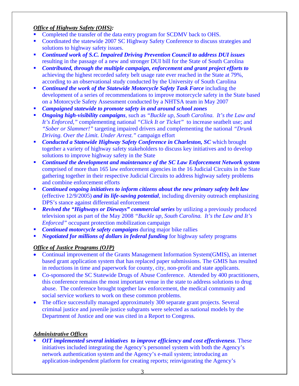## *Office of Highway Safety (OHS):*

- Completed the transfer of the data entry program for SCDMV back to OHS.
- Coordinated the statewide 2007 SC Highway Safety Conference to discuss strategies and solutions to highway safety issues.
- *Continued work of S.C. Impaired Driving Prevention Council to address DUI issues*  resulting in the passage of a new and stronger DUI bill for the State of South Carolina
- *Contributed, through the multiple campaign, enforcement and grant project efforts to*  achieving the highest recorded safety belt usage rate ever reached in the State at 79%, according to an observational study conducted by the University of South Carolina
- **Continued the work of the Statewide Motorcycle Safety Task Force** including the development of a series of recommendations to improve motorcycle safety in the State based on a Motorcycle Safety Assessment conducted by a NHTSA team in May 2007
- *Campaigned statewide to promote safety in and around school zones*
- *Ongoing high-visibility campaigns*, such as *"Buckle up, South Carolina. It's the Law and It's Enforced,"* complementing national *"Click It or Ticket"* to increase seatbelt use; and *"Sober or Slammer!"* targeting impaired drivers and complementing the national *"Drunk Driving. Over the Limit. Under Arrest."* campaign effort
- **Conducted a Statewide Highway Safety Conference in Charleston, SC** which brought together a variety of highway safety stakeholders to discuss key initiatives and to develop solutions to improve highway safety in the State
- *Continued the development and maintenance of the SC Law Enforcement Network system* comprised of more than 165 law enforcement agencies in the 16 Judicial Circuits in the State gathering together in their respective Judicial Circuits to address highway safety problems and combine enforcement efforts
- *Continued ongoing initiatives to inform citizens about the new primary safety belt law*  (effective 12/9/2005) *and its life-saving potential*, including diversity outreach emphasizing DPS's stance against differential enforcement
- *Revived the "Highways or Dieways" commercial series* by utilizing a previously produced television spot as part of the May 2008 *"Buckle up, South Carolina. It's the Law and It's Enforced"* occupant protection mobilization campaign
- *Continued motorcycle safety campaigns* during major bike rallies
- *Negotiated for millions of dollars in federal funding* for highway safety programs

# *Office of Justice Programs (OJP)*

- Continual improvement of the Grants Management Information System(GMIS), an internet based grant application system that has replaced paper submissions. The GMIS has resulted in reductions in time and paperwork for county, city, non-profit and state applicants.
- Co-sponsored the SC Statewide Drugs of Abuse Conference. Attended by 400 practitioners, this conference remains the most important venue in the state to address solutions to drug abuse. The conference brought together law enforcement, the medical community and social service workers to work on these common problems.
- The office successfully managed approximately 300 separate grant projects. Several criminal justice and juvenile justice subgrants were selected as national models by the Department of Justice and one was cited in a Report to Congress.

## *Administrative Offices*

 *OIT implemented several initiatives to improve efficiency and cost effectiveness*. These initiatives included integrating the Agency's personnel system with both the Agency's network authentication system and the Agency's e-mail system; introducing an application-independent platform for creating reports; reinvigorating the Agency's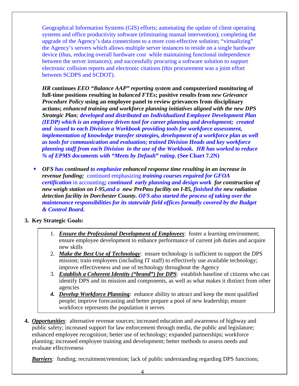Geographical Information Systems (GIS) efforts; automating the update of client operating systems and office productivity software (eliminating manual intervention); completing the upgrade of the Agency's data connections to a more cost-effective solution; "virtualizing" the Agency's servers which allows multiple server instances to reside on a single hardware device (thus, reducing overall hardware cost while maintaining functional independence between the server instances); and successfully procuring a software solution to support electronic collision reports and electronic citations (this procurement was a joint effort between SCDPS and SCDOT).

*HR* **continues** *EEO "Balance AAP" reporting system* **and computerized monitoring of full-time positions resulting in** *balanced FTEs***; positive results from** *new Grievance Procedure Policy* **using an employee panel to review grievances from disciplinary actions;** *enhanced training and workforce planning initiatives aligned with the new DPS Strategic Plan; developed and distributed an Individualized Employee Development Plan (IEDP) which is an employee driven tool for career planning and development; created and issued to each Division a Workbook providing tools for workforce assessment, implementation of knowledge transfer strategies, development of a workforce plan as well as tools for communication and evaluation; trained Division Heads and key workforce planning staff from each Division in the use of the Workbook. HR has worked to reduce % of EPMS documents with "Meets by Default" rating***. (See Chart 7.2N)**

 *OFS has continued to emphasize enhanced response time resulting in an increase in revenue funding;* continued emphasizing *training courses required for GFOA certification* in accounting*; continued early planning and design work for construction of new weigh station on I-95,and a new PrePass facility on I-85, finished the new radiation detection facility in Dorchester County. OFS also started the process of taking over the maintenance responsibilities for its statewide field offices formally covered by the Budget & Control Board.* 

#### **3. Key Strategic Goals:**

- 1. *Ensure the Professional Development of Employees*: foster a learning environment; ensure employee development to enhance performance of current job duties and acquire new skills
- 2. *Make the Best Use of Technology*: ensure technology is sufficient to support the DPS mission; train employees (including IT staff) to effectively use available technology; improve effectiveness and use of technology throughout the Agency
- 3. *Establish a Coherent Identity ("brand") for DPS*: establish baseline of citizens who can identify DPS and its mission and components, as well as what makes it distinct from other agencies
- *4. Develop Workforce Planning*: enhance ability to attract and keep the most qualified people; improve forecasting and better prepare a pool of new leadership; ensure workforce represents the population it serves
- **4.** *Opportunities*: alternative revenue sources; increased education and awareness of highway and public safety; increased support for law enforcement through media, the public and legislature; enhanced employee recognition; better use of technology; expanded partnerships; workforce planning; increased employee training and development; better methods to assess needs and evaluate effectiveness

*Barriers*: funding; recruitment/retention; lack of public understanding regarding DPS functions;

4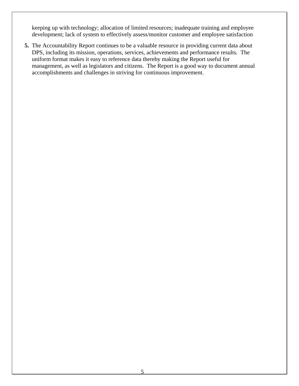keeping up with technology; allocation of limited resources; inadequate training and employee development; lack of system to effectively assess/monitor customer and employee satisfaction

**5.** The Accountability Report continues to be a valuable resource in providing current data about DPS, including its mission, operations, services, achievements and performance results. The uniform format makes it easy to reference data thereby making the Report useful for management, as well as legislators and citizens. The Report is a good way to document annual accomplishments and challenges in striving for continuous improvement.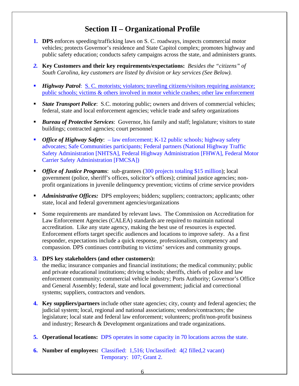# **Section II – Organizational Profile**

- **1. DPS** enforces speeding/trafficking laws on S. C. roadways, inspects commercial motor vehicles; protects Governor's residence and State Capitol complex; promotes highway and public safety education; conducts safety campaigns across the state, and administers grants.
- *2.* **Key Customers and their key requirements/expectations:** *Besides the "citizens" of South Carolina, key customers are listed by division or key services (See Below).*
- **Highway Patrol**: S. C. motorists; violators; traveling citizens/visitors requiring assistance; public schools; victims & others involved in motor vehicle crashes; other law enforcement
- **State Transport Police:** S.C. motoring public; owners and drivers of commercial vehicles; federal, state and local enforcement agencies; vehicle trade and safety organizations
- **Bureau of Protective Services:** Governor, his family and staff; legislature; visitors to state buildings; contracted agencies; court personnel
- *Office of Highway Safety*:  $-\text{law enforcement}$ ; K-12 public schools; highway safety advocates; Safe Communities participants; Federal partners (National Highway Traffic Safety Administration [NHTSA], Federal Highway Administration [FHWA], Federal Motor Carrier Safety Administration [FMCSA])
- *Office of Justice Programs*: sub-grantees (300 projects totaling \$15 million); local government (police, sheriff's offices, solicitor's offices); criminal justice agencies; nonprofit organizations in juvenile delinquency prevention; victims of crime service providers
- **Administrative Offices:** DPS employees; bidders; suppliers; contractors; applicants; other state, local and federal government agencies/organizations
- Some requirements are mandated by relevant laws. The Commission on Accreditation for Law Enforcement Agencies (CALEA) standards are required to maintain national accreditation. Like any state agency, making the best use of resources is expected. Enforcement efforts target specific audiences and locations to improve safety. As a first responder, expectations include a quick response, professionalism, competency and compassion. DPS continues contributing to victims' services and community groups.

#### **3. DPS key stakeholders (and other customers):**

the media; insurance companies and financial institutions; the medical community; public and private educational institutions; driving schools; sheriffs, chiefs of police and law enforcement community; commercial vehicle industry; Ports Authority; Governor's Office and General Assembly; federal, state and local government; judicial and correctional systems; suppliers, contractors and vendors.

- **4. Key suppliers/partners** include other state agencies; city, county and federal agencies; the judicial system; local, regional and national associations; vendors/contractors; the legislature; local state and federal law enforcement; volunteers; profit/non-profit business and industry; Research & Development organizations and trade organizations.
- **5. Operational locations:** DPS operates in some capacity in 70 locations across the state.
- **6. Number of employees:** Classified: 1,516; Unclassified: 4(2 filled,2 vacant) Temporary: 107; Grant 2.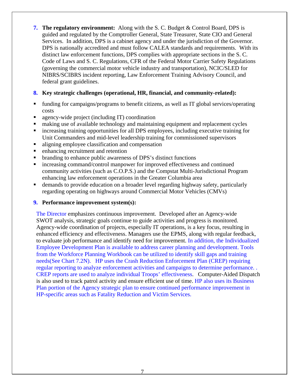**7. The regulatory environment:** Along with the S. C. Budget & Control Board, DPS is guided and regulated by the Comptroller General, State Treasurer, State CIO and General Services. In addition, DPS is a cabinet agency and under the jurisdiction of the Governor. DPS is nationally accredited and must follow CALEA standards and requirements. With its distinct law enforcement functions, DPS complies with appropriate sections in the S. C. Code of Laws and S. C. Regulations, CFR of the Federal Motor Carrier Safety Regulations (governing the commercial motor vehicle industry and transportation), NCIC/SLED for NIBRS/SCIBRS incident reporting, Law Enforcement Training Advisory Council, and federal grant guidelines.

#### **8. Key strategic challenges (operational, HR, financial, and community-related):**

- funding for campaigns/programs to benefit citizens, as well as IT global services/operating costs
- agency-wide project (including IT) coordination
- making use of available technology and maintaining equipment and replacement cycles
- increasing training opportunities for all DPS employees, including executive training for Unit Commanders and mid-level leadership training for commissioned supervisors
- aligning employee classification and compensation
- enhancing recruitment and retention
- branding to enhance public awareness of DPS's distinct functions
- increasing command/control manpower for improved effectiveness and continued community activities (such as C.O.P.S.) and the Compstat Multi-Jurisdictional Program enhancing law enforcement operations in the Greater Columbia area
- demands to provide education on a broader level regarding highway safety, particularly regarding operating on highways around Commercial Motor Vehicles (CMVs)

#### **9. Performance improvement system(s):**

The Director emphasizes continuous improvement. Developed after an Agency-wide SWOT analysis, strategic goals continue to guide activities and progress is monitored. Agency-wide coordination of projects, especially IT operations, is a key focus, resulting in enhanced efficiency and effectiveness. Managers use the EPMS, along with regular feedback, to evaluate job performance and identify need for improvement. In addition, the Individualized Employee Development Plan is available to address career planning and development. Tools from the Workforce Planning Workbook can be utilized to identify skill gaps and training needs(See Chart 7.2N). HP uses the Crash Reduction Enforcement Plan (CREP) requiring regular reporting to analyze enforcement activities and campaigns to determine performance. . CREP reports are used to analyze individual Troops' effectiveness. Computer-Aided Dispatch is also used to track patrol activity and ensure efficient use of time. HP also uses its Business Plan portion of the Agency strategic plan to ensure continued performance improvement in HP-specific areas such as Fatality Reduction and Victim Services.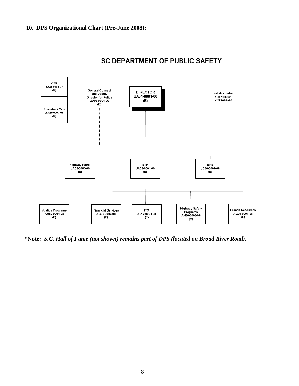

**\*Note:** *S.C. Hall of Fame (not shown) remains part of DPS (located on Broad River Road).*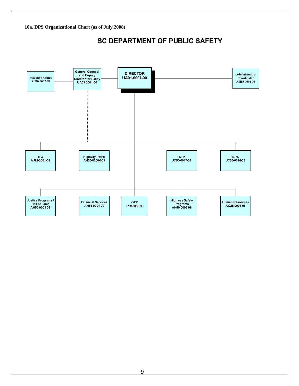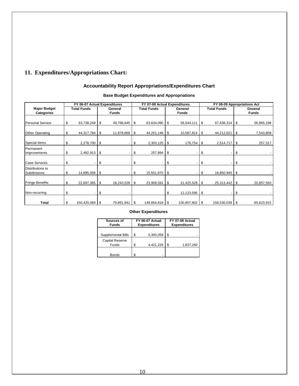### **11. Expenditures/Appropriations Chart:**

#### **Accountability Report Appropriations/Expenditures Chart**

#### **Base Budget Expenditures and Appropriations**

|                                          | FY 06-07 Actual Expenditures |    |                          |    | FY 07-08 Actual Expenditures |    |                         |    | FY 08-09 Appropriations Act |                         |            |
|------------------------------------------|------------------------------|----|--------------------------|----|------------------------------|----|-------------------------|----|-----------------------------|-------------------------|------------|
| <b>Major Budget</b><br><b>Categories</b> | <b>Total Funds</b>           |    | General<br><b>Funds</b>  |    | <b>Total Funds</b>           |    | General<br><b>Funds</b> |    | <b>Total Funds</b>          | General<br><b>Funds</b> |            |
| <b>Personal Service</b>                  | \$<br>63,738,249             | \$ | 49,768,645               | -S | 63,634,090                   | \$ | 56,544,111              | \$ | 67,638,314                  | l \$                    | 56,965,196 |
| <b>Other Operating</b>                   | \$<br>44,317,784             | \$ | 11,879,668               | \$ | 44,201,148                   | \$ | 10,587,814              | \$ | 44,212,621                  | -\$                     | 7,543,809  |
| Special Items                            | \$<br>2,278,700              | \$ |                          | \$ | 2,303,125                    | \$ | 176,754                 | \$ | 2,514,717                   | -\$                     | 257,317    |
| Permanent<br>Improvements                | \$<br>$2,492,913$ \$         |    |                          | \$ | 257,894                      | \$ |                         | \$ |                             | \$                      |            |
| <b>Case Services</b>                     | \$                           | \$ | $\overline{\phantom{a}}$ | \$ | ۰                            | \$ | ۰                       | \$ | ٠                           | S                       |            |
| Distributions to<br>Subdivisions         | \$<br>14,895,058             | \$ | $\overline{\phantom{a}}$ | \$ | 15,551,970                   | \$ |                         | \$ | 18,850,945                  | l \$                    |            |
| <b>Fringe Benefits</b>                   | \$<br>22,697,365             | \$ | 18,243,528               | \$ | 23,906,591                   | \$ | 21,425,528              | \$ | 25,313,442                  | \$                      | 20,857,593 |
| Non-recurring                            | \$                           | \$ |                          |    |                              | S  | 12,123,595              | \$ |                             | S                       |            |
| Total                                    | \$<br>150,420,069            | \$ | 79,891,841               | \$ | 149,854,818                  | \$ | 100,857,802             | \$ | 158,530,039                 | -\$                     | 85,623,915 |

#### **Other Expenditures**

| Sources of<br><b>Funds</b>      | FY 06-07 Actual<br><b>Expenditures</b> |           |    | FY 07-08 Actual<br><b>Expenditures</b> |  |  |
|---------------------------------|----------------------------------------|-----------|----|----------------------------------------|--|--|
| Supplemental Bills              | S                                      | 5,300,059 | \$ |                                        |  |  |
| <b>Capital Reserve</b><br>Funds | S                                      | 4,421,226 | S  | 1,637,260                              |  |  |
| <b>Bonds</b>                    | S                                      |           |    |                                        |  |  |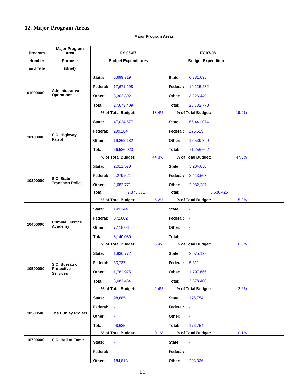# **12. Major Program Areas**

**Major Program Areas** 

| Program       | <b>Major Program</b><br>Area        | FY 06-07                   |       | FY 07-08                   |       |
|---------------|-------------------------------------|----------------------------|-------|----------------------------|-------|
| <b>Number</b> | <b>Purpose</b>                      | <b>Budget Expenditures</b> |       | <b>Budget Expenditures</b> |       |
| and Title     | (Brief)                             |                            |       |                            |       |
|               |                                     | State:<br>6,699,719        |       | 6,381,098<br>State:        |       |
|               |                                     | Federal:<br>17,671,298     |       | Federal:<br>19,125,232     |       |
| 01000000      | Administrative<br><b>Operations</b> | Other:<br>3,302,392        |       | Other:<br>3,226,440        |       |
|               |                                     | 27,673,409<br>Total:       |       | 28,732,770<br>Total:       |       |
|               |                                     | % of Total Budget:         | 18.4% | % of Total Budget:         | 19.2% |
|               |                                     | 47,024,577<br>State:       |       | State:<br>55,441,074       |       |
|               |                                     | 299,264<br>Federal:        |       | Federal:<br>275,629        |       |
| 10100000      | S.C. Highway<br>Patrol              | Other:<br>19,262,182       |       | Other:<br>15,539,899       |       |
|               |                                     | Total:<br>66,586,023       |       | Total:<br>71,256,602       |       |
|               |                                     | % of Total Budget:         | 44.3% | % of Total Budget:         | 47.6% |
|               |                                     | State:<br>2,911,579        |       | State:<br>3,234,630        |       |
|               | S.C. State                          | Federal:<br>2,279,521      |       | Federal:<br>2,413,508      |       |
| 10300000      | <b>Transport Police</b>             | Other:<br>2,682,771        |       | Other:<br>2,982,287        |       |
|               |                                     | Total:<br>7,873,871        |       | Total:<br>8,630,425        |       |
|               |                                     | % of Total Budget:         | 5.2%  | % of Total Budget:         | 5.8%  |
|               | <b>Criminal Justice</b><br>Academy  | 149,144<br>State:          |       | State:                     |       |
|               |                                     | Federal:<br>872,802        |       | Federal:<br>$\sim$         |       |
| 10400000      |                                     | Other:<br>7,118,084        |       | Other:                     |       |
|               |                                     | Total:<br>8,140,030        |       | Total:                     |       |
|               |                                     | % of Total Budget:         | 5.4%  | % of Total Budget:         | 0.0%  |
|               |                                     | State:<br>1,836,772        |       | State:<br>2,075,123        |       |
|               | S.C. Bureau of                      | Federal:<br>63,737         |       | Federal:<br>5,611          |       |
| 10500000      | Protective<br><b>Services</b>       | 1,781,975<br>Other:        |       | Other:<br>1,797,666        |       |
|               |                                     | 3,682,484<br>Total:        |       | Total:<br>3,878,400        |       |
|               |                                     | % of Total Budget:         | 2.4%  | % of Total Budget:         | 2.6%  |
|               |                                     | 98,685<br>State:           |       | 176,754<br>State:          |       |
|               |                                     | Federal:<br>$\blacksquare$ |       | Federal:<br>$\Box$         |       |
| 10500500      | <b>The Hunley Project</b>           | Other:                     |       | Other:                     |       |
|               |                                     | 98,685<br>Total:           |       | 176,754<br>Total:          |       |
|               |                                     | % of Total Budget:         | 0.1%  | % of Total Budget:         | 0.1%  |
| 10700000      | S.C. Hall of Fame                   | State:                     |       | State:                     |       |
|               |                                     | Federal:<br>$\blacksquare$ |       | Federal:<br>$\blacksquare$ |       |
|               |                                     | 184,813<br>Other:          |       | Other:<br>203,336          |       |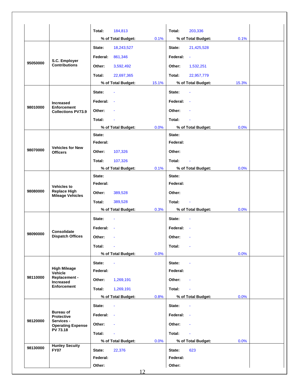|          |                                                                      | Total:<br>184,813                    |       | Total:<br>203,336                              |       |  |
|----------|----------------------------------------------------------------------|--------------------------------------|-------|------------------------------------------------|-------|--|
|          |                                                                      | % of Total Budget:                   | 0.1%  | % of Total Budget:                             | 0.1%  |  |
|          |                                                                      | State:<br>18,243,527                 |       | State:<br>21,425,528                           |       |  |
|          |                                                                      | Federal:<br>861,346                  |       | Federal:<br>$\sim$                             |       |  |
| 95050000 | S.C. Employer<br><b>Contributions</b>                                | Other:<br>3,592,492                  |       | Other:<br>1,532,251                            |       |  |
|          |                                                                      | Total:<br>22,697,365                 |       | Total:<br>22,957,779                           |       |  |
|          |                                                                      | % of Total Budget:                   | 15.1% | % of Total Budget:                             | 15.3% |  |
|          |                                                                      | State:<br>ä,                         |       | State:<br>$\sim$                               |       |  |
|          | <b>Increased</b>                                                     | Federal:<br>$\sim$                   |       | Federal:                                       |       |  |
| 98010000 | <b>Enforcement</b><br><b>Collections PV73.9</b>                      | Other:                               |       | Other:                                         |       |  |
|          |                                                                      | Total:<br>$\mathbb{Z}$               |       | Total:<br>$\blacksquare$                       |       |  |
|          |                                                                      | % of Total Budget:                   | 0.0%  | % of Total Budget:                             | 0.0%  |  |
|          |                                                                      | State:                               |       | State:                                         |       |  |
|          |                                                                      | Federal:                             |       | Federal:                                       |       |  |
| 98070000 | <b>Vehicles for New</b><br><b>Officers</b>                           | Other:<br>107,326                    |       | Other:                                         |       |  |
|          |                                                                      | Total:<br>107,326                    |       | Total:<br>$\blacksquare$                       |       |  |
|          |                                                                      | % of Total Budget:                   | 0.1%  | % of Total Budget:                             | 0.0%  |  |
|          |                                                                      | State:                               |       | State:                                         |       |  |
|          | <b>Vehicles to</b><br><b>Replace High</b><br><b>Mileage Vehicles</b> | Federal:                             |       | Federal:                                       |       |  |
| 98080000 |                                                                      | Other:<br>389,528                    |       | Other:                                         |       |  |
|          |                                                                      | Total:<br>389,528                    |       | Total:<br>ä,                                   |       |  |
|          |                                                                      | % of Total Budget:                   | 0.3%  | % of Total Budget:                             | 0.0%  |  |
|          |                                                                      | State:<br>ł,                         |       | State:                                         |       |  |
|          |                                                                      | Federal:<br>$\overline{\phantom{a}}$ |       | Federal:<br>$\sim$                             |       |  |
| 98090000 | <b>Consolidate</b><br><b>Dispatch Offices</b>                        | Other:<br>$\blacksquare$             |       | Other:<br>$\blacksquare$                       |       |  |
|          |                                                                      | Total:<br>$\Box$                     |       | Total:                                         |       |  |
|          |                                                                      | % of Total Budget:                   | 0.0%  |                                                | 0.0%  |  |
|          |                                                                      | State:<br>$\Box$                     |       | State:                                         |       |  |
|          | <b>High Mileage</b>                                                  | Federal:                             |       | Federal:                                       |       |  |
| 98110000 | Vehicle<br>Replacement -                                             | Other:<br>1,269,191                  |       | Other:<br>÷.                                   |       |  |
|          | Increased<br>Enforcement                                             | Total:<br>1,269,191                  |       | Total:                                         |       |  |
|          |                                                                      | % of Total Budget:                   | 0.8%  | % of Total Budget:                             | 0.0%  |  |
|          |                                                                      | State:<br>ä,                         |       | State:<br>$\blacksquare$                       |       |  |
|          | <b>Bureau of</b>                                                     | Federal:<br>$\mathbb{Z}$             |       | Federal:<br>$\sim$                             |       |  |
| 98120000 | Protective<br>Services -                                             | Other:<br>÷,                         |       | Other:<br>÷.                                   |       |  |
|          | <b>Operating Expense</b><br>PV 73.18                                 |                                      |       |                                                |       |  |
|          |                                                                      | Total:<br>ä,<br>% of Total Budget:   | 0.0%  | Total:<br>$\blacksquare$<br>% of Total Budget: | 0.0%  |  |
| 98130000 | <b>Hunley Secuity</b>                                                |                                      |       |                                                |       |  |
|          | <b>FY07</b>                                                          | 22,376<br>State:<br>Federal:         |       | 623<br>State:<br>Federal:                      |       |  |
|          |                                                                      | Other:                               |       | Other:                                         |       |  |
|          |                                                                      | 12.                                  |       |                                                |       |  |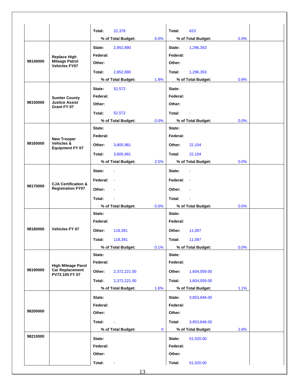|          |                                                            | Total:<br>22,376         |             | Total:<br>623          |      |
|----------|------------------------------------------------------------|--------------------------|-------------|------------------------|------|
|          |                                                            | % of Total Budget:       | 0.0%        | % of Total Budget:     | 0.0% |
|          |                                                            | State:<br>2,852,890      |             | State:<br>1,296,353    |      |
|          | <b>Replace High</b>                                        | Federal:                 |             | Federal:               |      |
| 98140000 | <b>Mileage Patrol</b><br><b>Vehicles FY07</b>              | Other:                   |             | Other:                 |      |
|          |                                                            | Total:<br>2,852,890      |             | Total:<br>1,296,353    |      |
|          |                                                            | % of Total Budget:       | 1.9%        | % of Total Budget:     | 0.9% |
|          |                                                            | 52,572<br>State:         |             | State:                 |      |
|          | <b>Sumter County</b>                                       | Federal:                 |             | Federal:               |      |
| 98150000 | <b>Justice Assist</b><br>Grant FY 07                       | Other:                   |             | Other:                 |      |
|          |                                                            | Total:<br>52,572         |             | Total:                 |      |
|          |                                                            | % of Total Budget:       | 0.0%        | % of Total Budget:     | 0.0% |
|          |                                                            | State:                   |             | State:                 |      |
|          | <b>New Trooper</b>                                         | Federal:                 |             | Federal:               |      |
| 98160000 | <b>Vehicles &amp;</b><br><b>Equipment FY 07</b>            | Other:<br>3,805,981      |             | Other:<br>22,104       |      |
|          |                                                            | Total:<br>3,805,981      |             | Total:<br>22,104       |      |
|          |                                                            | % of Total Budget:       | 2.5%        | % of Total Budget:     | 0.0% |
|          |                                                            | State:                   |             | State:                 |      |
|          |                                                            | Federal:                 |             | Federal:               |      |
| 98170000 | <b>CJA Certification &amp;</b><br><b>Registration FY07</b> | Other:                   |             | Other:                 |      |
|          |                                                            | Total:                   |             | Total:                 |      |
|          |                                                            | % of Total Budget:       | 0.0%        | % of Total Budget:     | 0.0% |
|          |                                                            | State:                   |             | State:                 |      |
|          |                                                            | Federal:                 |             | Federal:               |      |
| 98180000 | <b>Vehicles FY 07</b>                                      | Other:<br>118,391        |             | Other:<br>11,097       |      |
|          |                                                            | Total:<br>118,391        |             | Total:<br>11,097       |      |
|          |                                                            | % of Total Budget:       | 0.1%        | % of Total Budget:     | 0.0% |
|          |                                                            | State:                   |             | State:                 |      |
|          | <b>High Mileage Parol</b>                                  | Federal:                 |             | Federal:               |      |
| 98190000 | <b>Car Replacement</b><br>PV72.105 FY 07                   | Other:<br>2,372,221.00   |             | 1,604,059.00<br>Other: |      |
|          |                                                            | Total:<br>2,372,221.00   |             | Total:<br>1,604,059.00 |      |
|          |                                                            | % of Total Budget:       | 1.6%        | % of Total Budget:     | 1.1% |
|          |                                                            | State:                   |             | State:<br>3,853,846.00 |      |
|          |                                                            | Federal:                 |             | Federal:               |      |
| 98200000 |                                                            | Other:                   |             | Other:                 |      |
|          |                                                            | Total:<br>$\blacksquare$ |             | Total:<br>3,853,846.00 |      |
|          |                                                            | % of Total Budget:       | $\mathbf 0$ | % of Total Budget:     | 2.6% |
| 98210000 |                                                            | State:                   |             | 51,520.00<br>State:    |      |
|          |                                                            | Federal:                 |             | Federal:               |      |
|          |                                                            | Other:                   |             | Other:                 |      |
|          |                                                            | Total:<br>$\blacksquare$ |             | Total:<br>51,520.00    |      |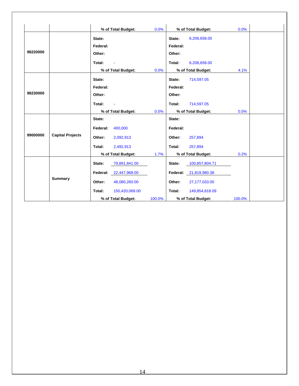|          |                         | % of Total Budget:            | 0.0%   | % of Total Budget:        | 0.0%   |  |
|----------|-------------------------|-------------------------------|--------|---------------------------|--------|--|
|          |                         | State:                        |        | 6,206,658.00<br>State:    |        |  |
|          |                         | Federal:                      |        | Federal:                  |        |  |
| 98220000 |                         | Other:                        |        | Other:                    |        |  |
|          |                         | Total:                        |        | 6,206,658.00<br>Total:    |        |  |
|          |                         | % of Total Budget:            | 0.0%   | % of Total Budget:        | 4.1%   |  |
|          |                         | State:                        |        | State:<br>714,597.05      |        |  |
|          |                         | Federal:                      |        | Federal:                  |        |  |
| 98230000 |                         | Other:                        |        | Other:                    |        |  |
|          |                         | Total:                        |        | Total:<br>714,597.05      |        |  |
|          |                         | % of Total Budget:            | 0.0%   | % of Total Budget:        | 0.5%   |  |
|          |                         | State:                        |        | State:                    |        |  |
|          |                         | 400,000<br>Federal:           |        | Federal:                  |        |  |
| 99000000 | <b>Capital Projects</b> | Other:<br>2,092,913           |        | Other:<br>257,894         |        |  |
|          |                         | Total:<br>2,492,913           |        | Total:<br>257,894         |        |  |
|          |                         | % of Total Budget:            | 1.7%   | % of Total Budget:        | 0.2%   |  |
|          |                         | State:<br>79,891,841.00       |        | State:<br>100,857,804.71  |        |  |
|          |                         | <b>Federal: 22,447,968.00</b> |        | 21,819,980.38<br>Federal: |        |  |
|          | <b>Summary</b>          | Other:<br>48,080,260.00       |        | Other:<br>27,177,033.00   |        |  |
|          |                         | Total:<br>150,420,069.00      |        | Total:<br>149,854,818.09  |        |  |
|          |                         | % of Total Budget:            | 100.0% | % of Total Budget:        | 100.0% |  |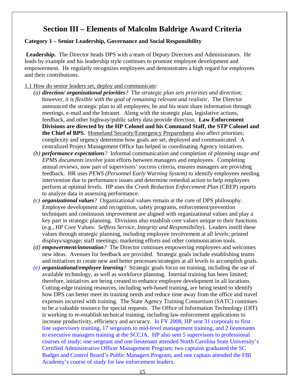# **Section III – Elements of Malcolm Baldrige Award Criteria**

#### **Category 1 – Senior Leadership, Governance and Social Responsibility**

 **Leadership.** The Director heads DPS with a team of Deputy Directors and Administrators. He leads by example and his leadership style continues to promote employee development and empowerment. He regularly recognizes employees and demonstrates a high regard for employees and their contributions.

#### 1.1 How do senior leaders set, deploy and communicate:

- *(a) direction/ organizational priorities?* The *strategic plan sets priorities and direction*; however, *it is flexible with the goal of remaining relevant and realistic*. The Director announced the strategic plan to all employees; he and his team share information through meetings, e-mail and the Intranet. Along with the strategic plan, legislative actions, feedback, and other highway/public safety data provide direction. **Law Enforcement Divisions are directed by the HP Colonel and his Command Staff, the STP Colonel and the Chief of BPS.** Homeland Security/Emergency Preparedness also affect priorities; complexity and urgency determine how goals are set, deployed and communicated. A centralized Project Management Office has helped in coordinating Agency initiatives.
- *(b) performance expectations?* Informal communication and completion of *planning stage and EPMS documents* involve joint efforts between managers and employees. Completing annual reviews, now part of supervisors' success criteria, ensures managers are providing feedback. HR uses *PEWS (Personnel Early Warning System)* to identify employees needing intervention due to performance issues and determine remedial action to help employees perform at optimal levels. HP uses the *Crash Reduction Enforcement Plan* (CREP) reports to analyze data in assessing performance.
- *(c) organizational values?* Organizational values remain at the core of DPS philosophy. Employee development and recognition, safety programs, enforcement/prevention techniques and continuous improvement are aligned with organizational values and play a key part in strategic planning. Divisions also establish core values unique to their functions (e.g., HP Core Values: *Selfless Service, Integrity and Responsibility*). Leaders instill these values through strategic planning, including employee involvement at all levels; printed displays/signage; staff meetings; marketing efforts and other communication tools.
- *(d) empowerment/innovation?* The Director continues empowering employees and welcomes new ideas. Avenues for feedback are provided. Strategic goals include establishing teams and initiatives to create new and better processes/strategies at all levels to accomplish goals.
- *(e) organizational/employee learning?* Strategic goals focus on training, including the use of available technology, as well as workforce planning. Internal training has been limited; therefore, initiatives are being created to enhance employee development in all locations. Cutting-edge training resources, including web-based training, are being tested to identify how DPS can better meet its training needs and reduce time away from the office and travel expenses incurred with training. The State Agency Training Consortium (SATC) continues to be a valuable resource for special requests. The Office of Information Technology (OIT) is working to re-establish technical training, including law enforcement applications to increase productivity, efficiency and accuracy. In FY 2008, HP sent 31 corporals to first line supervisory training, 17 sergeants to mid-level management training, and 2 lieutenants to executive managers training at the SCCJA. HP also sent 5 supervisors to professional courses of study; one sergeant and one lieutenant attended North Carolina State University's Certified Administrative Officer Management Program; two captains graduated the SC Budget and Control Board's Public Managers Program, and one captain attended the FBI Academy's course of study for law enforcement leaders.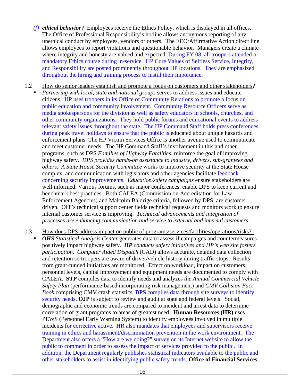- *(f) ethical behavior?* Employees receive the Ethics Policy, which is displayed in all offices. The Office of Professional Responsibility's hotline allows anonymous reporting of any unethical conduct by employees, vendors or others. The EEO/Affirmative Action direct line allows employees to report violations and questionable behavior. Managers create a climate where integrity and honesty are valued and expected. During FY 08, all troopers attended a mandatory Ethics course during in-service. HP Core Values of Selfless Service, Integrity, and Responsibility are posted prominently throughout HP locations. They are emphasized throughout the hiring and training process to instill their importance.
- 1.2 How do senior leaders establish and promote a focus on customers and other stakeholders?
	- *Partnering with local, state and national groups* serves to address issues and educate citizens. HP uses troopers in its Office of Community Relations to promote a focus on public education and community involvement. Community Resource Officers serve as media spokespersons for the division as well as safety educators in schools, churches, and other community organizations. They hold public forums and educational events to address relevant safety issues throughout the state. The HP Command Staff holds press conferences during peak travel holidays to ensure that the public is educated about unique hazards and enforcement plans. The HP Victim Services Office is another avenue used to communicate and meet customer needs. The HP Command Staff's involvement in this and other programs, such as DPS *Families of Highway Fatalities*, reinforce the goal of improving highway safety. *DPS provides hands-on assistance to industry, drivers, sub-grantees and others. A State House Security Committee* works to improve security at the State House complex, and communication with legislators and other agencies facilitate feedback concerning security improvements. *Education/safety campaigns* ensure stakeholders are well informed. Various forums, such as major conferences, enable DPS to keep current and benchmark best practices. Both CALEA (Commission on Accreditation for Law Enforcement Agencies) and Malcolm Baldrige criteria, followed by DPS, are customer driven. OIT's technical support center fields technical requests and monitors work to ensure internal customer service is improving. *Technical advancements and integration of processes are enhancing communication and service to external and internal customers*.
- 1.3 How does DPS address impact on public of programs/services/facilities/operations/risks?
	- *OHS Statistical Analysis Center* generates data to assess if campaigns and countermeasures positively impact highway safety. *HP conducts safety initiatives and HP's web site fosters participation*. *Computer Aided Dispatch* (CAD) allows accurate, detailed data collection and retention so troopers are aware of driver/vehicle history during traffic stops. Results from grant-funded initiatives are monitored. Effect on workload, impact on customers, personnel levels, capital improvement and equipment needs are documented to comply with CALEA. **STP** compiles data to identify needs and analyzes *the Annual Commercial Vehicle Safety Plan* (performance-based incorporating risk management) and *CMV Collision Fact Book* comprising CMV crash statistics. **BPS** compiles data through site surveys to identify security needs. **OJP** is subject to review and audit at state and federal levels. Social, demographic and economic trends are compared to incident and arrest data to determine correlation of grant programs to areas of greatest need. **Human Resources (HR)** uses PEWS (Personnel Early Warning System) to identify employees involved in multiple incidents for corrective active. HR also mandates that employees and supervisors receive training in ethics and harassment/discrimination prevention in the work environment. The Department also offers a "How are we doing?" survey on its Internet website to allow the public to comment in order to assess the impact of services provided to the public. In addition, the Department regularly publishes statistical indicators available to the public and other stakeholders to assist in identifying public safety trends. **Office of Financial Services**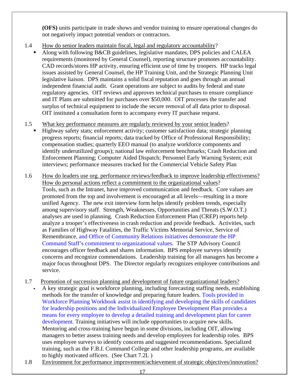**(OFS)** units participate in trade shows and vendor training to ensure operational changes do not negatively impact potential vendors or contractors.

1.4 How do senior leaders maintain fiscal, legal and regulatory accountability?

 Along with following B&CB guidelines, legislative mandates, DPS policies and CALEA requirements (monitored by General Counsel), reporting structure promotes accountability. CAD records/stores HP activity, ensuring efficient use of time by troopers. HP tracks legal issues assisted by General Counsel, the HP Training Unit, and the Strategic Planning Unit legislative liaison. DPS maintains a solid fiscal reputation and goes through an annual independent financial audit. Grant operations are subject to audits by federal and state regulatory agencies. OIT reviews and approves technical purchases to ensure compliance and IT Plans are submitted for purchases over \$50,000. OIT processes the transfer and surplus of technical equipment to include the secure removal of all data prior to disposal. OIT instituted a consultation form to accompany every IT purchase request.

## 1.5 What key performance measures are regularly reviewed by your senior leaders?

- Highway safety stats; enforcement activity; customer satisfaction data; strategic planning progress reports; financial reports; data tracked by Office of Professional Responsibility; compensation studies; quarterly EEO manual (to analyze workforce components and identify underutilized groups); national law enforcement benchmarks; Crash Reduction and Enforcement Planning; Computer Aided Dispatch; Personnel Early Warning System; exit interviews; performance measures tracked for the Commercial Vehicle Safety Plan
- 1.6 How do leaders use org. performance reviews/feedback to improve leadership effectiveness? How do personal actions reflect a commitment to the organizational values? Tools, such as the Intranet, have improved communication and feedback. Core values are promoted from the top and involvement is encouraged at all levels—resulting in a more unified Agency. The new exit interview form helps identify problem trends, especially among supervisory staff. Strength, Weaknesses, Opportunities and Threats (S.W.O.T.) analyses are used in planning. Crash Reduction Enforcement Plan (CREP) reports help analyze a trooper's effectiveness in crash reduction and provide feedback. Activities, such as Families of Highway Fatalities, the Traffic Victims Memorial Service, Service of Remembrance, and Office of Community Relations initiatives demonstrate the HP Command Staff's commitment to organizational values. The STP Advisory Council encourages officer feedback and shares information. BPS employee surveys identify concerns and recognize commendations. Leadership training for all managers has become a major focus throughout DPS. The Director regularly recognizes employee contributions and service.
- 1.7 Promotion of succession planning and development of future organizational leaders? A key strategic goal is workforce planning, including forecasting staffing needs, establishing methods for the transfer of knowledge and preparing future leaders. Tools provided in Workforce Planning Workbook assist in identifying and developing the skills of candidates for leadership positions and the Individualized Employee Development Plan provides a means for every employee to develop a detailed training and development plan for career development. Training initiatives will include opportunities to acquire new skills. Mentoring and cross-training have begun in some divisions, including OIT, allowing managers to better assess training needs and develop employees for leadership roles. BPS uses employee surveys to identify concerns and suggested recommendations. Specialized training, such as the F.B.I. Command College and other leadership programs, are available to highly motivated officers. (See Chart 7.2L )
- 1.8 Environment for performance improvement/achievement of strategic objectives/innovation?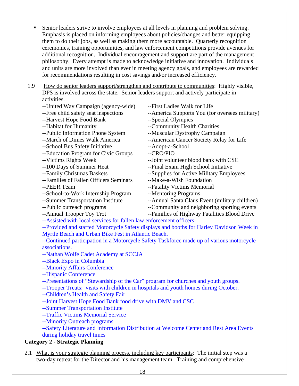- Senior leaders strive to involve employees at all levels in planning and problem solving. Emphasis is placed on informing employees about policies/changes and better equipping them to do their jobs, as well as making them more accountable. Quarterly recognition ceremonies, training opportunities, and law enforcement competitions provide avenues for additional recognition. Individual encouragement and support are part of the management philosophy. Every attempt is made to acknowledge initiative and innovation. Individuals and units are more involved than ever in meeting agency goals, and employees are rewarded for recommendations resulting in cost savings and/or increased efficiency.
- 1.9 How do senior leaders support/strengthen and contribute to communities: Highly visible, DPS is involved across the state. Senior leaders support and actively participate in activities.
	- --United Way Campaign (agency-wide) --First Ladies Walk for Life
	- --Free child safety seat inspections ---America Supports You (for oversees military)
	- --Harvest Hope Food Bank --Special Olympics
	-
	- --Public Information Phone System --Muscular Dystrophy Campaign
	-
	- --School Bus Safety Initiative --Adopt-a-School
	- --Education Program for Civic Groups ---CRO/PIO
	-
	-
	-
	- --Families of Fallen Officers Seminars --Make-a-Wish Foundation
	-
	- --School-to-Work Internship Program --Mentoring Programs
	-
	-
- 
- 
- 
- --Habitat for Humanity **Figure 1** --Community Health Charities
	-
- --March of Dimes Walk America ---American Cancer Society Relay for Life
	-
	-
- --Victims Rights Week --Joint volunteer blood bank with CSC
- --100 Days of Summer Heat ---Final Exam High School Initiative
- --Family Christmas Baskets --Supplies for Active Military Employees
	-
- --PEER Team --Fatality Victims Memorial
	-
- --Summer Transportation Institute --Annual Santa Claus Event (military children)
- --Public outreach programs --Community and neighboring sporting events
- --Annual Trooper Toy Trot ---Families of Highway Fatalities Blood Drive

--Assisted with local services for fallen law enforcement officers

--Provided and staffed Motorcycle Safety displays and booths for Harley Davidson Week in Myrtle Beach and Urban Bike Fest in Atlantic Beach.

--Continued participation in a Motorcycle Safety Taskforce made up of various motorcycle associations.

--Nathan Wolfe Cadet Academy at SCCJA

--Black Expo in Columbia

--Minority Affairs Conference

- --Hispanic Conference
- --Presentations of "Stewardship of the Car" program for churches and youth groups.
- --Trooper Treats: visits with children in hospitals and youth homes during October.
- --Children's Health and Safety Fair
- --Joint Harvest Hope Food Bank food drive with DMV and CSC
- --Summer Transportation Institute
- --Traffic Victims Memorial Service
- --Minority Outreach programs

--Safety Literature and Information Distribution at Welcome Center and Rest Area Events during holiday travel times

### **Category 2 - Strategic Planning**

2.1 What is your strategic planning process, including key participants: The initial step was a two-day retreat for the Director and his management team. Training and comprehensive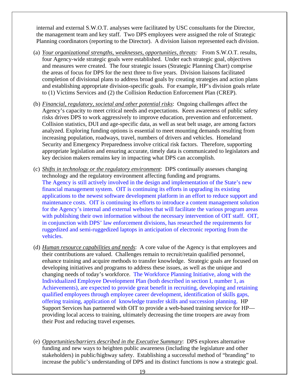internal and external S.W.O.T. analyses were facilitated by USC consultants for the Director, the management team and key staff. Two DPS employees were assigned the role of Strategic Planning coordinators (reporting to the Director). A division liaison represented each division.

- (a) *Your organizational strengths, weaknesses, opportunities, threats:* From S.W.O.T. results, four Agency-wide strategic goals were established. Under each strategic goal, objectives and measures were created. The four strategic issues (Strategic Planning Chart) comprise the areas of focus for DPS for the next three to five years. Division liaisons facilitated completion of divisional plans to address broad goals by creating strategies and action plans and establishing appropriate division-specific goals. For example, HP's division goals relate to (1) Victims Services and (2) the Collision Reduction Enforcement Plan (CREP).
- (b) *Financial, regulatory, societal and other potential risks*: Ongoing challenges affect the Agency's capacity to meet critical needs and expectations. Keen awareness of public safety risks drives DPS to work aggressively to improve education, prevention and enforcement. Collision statistics, DUI and age-specific data, as well as seat belt usage, are among factors analyzed. Exploring funding options is essential to meet mounting demands resulting from increasing population, roadways, travel, numbers of drivers and vehicles. Homeland Security and Emergency Preparedness involve critical risk factors. Therefore, supporting appropriate legislation and ensuring accurate, timely data is communicated to legislators and key decision makers remains key in impacting what DPS can accomplish.
- (c) *Shifts in technology or the regulatory environment*: DPS continually assesses changing technology and the regulatory environment affecting funding and programs. The Agency is still actively involved in the design and implementation of the State's new financial management system. OIT is continuing its efforts in upgrading its existing applications to the newest software development platform in an effort to reduce support and maintenance costs. OIT is continuing its efforts to introduce a content management solution for the Agency's internal and external websites that will facilitate the various program areas with publishing their own information without the necessary intervention of OIT staff. OIT, in conjunction with DPS' law enforcement divisions, has researched the requirements for ruggedized and semi-ruggedized laptops in anticipation of electronic reporting from the vehicles.
- (d) *Human resource capabilities and needs*: A core value of the Agency is that employees and their contributions are valued. Challenges remain to recruit/retain qualified personnel, enhance training and acquire methods to transfer knowledge. Strategic goals are focused on developing initiatives and programs to address these issues, as well as the unique and changing needs of today's workforce. The Workforce Planning Initiative, along with the Individualized Employee Development Plan (both described in section I, number 1, as Achievements), are expected to provide great benefit in recruiting, developing and retaining qualified employees through employee career development, identification of skills gaps, offering training, application of knowledge transfer skills and succession planning. HP Support Services has partnered with OIT to provide a web-based training service for HP providing local access to training, ultimately decreasing the time troopers are away from their Post and reducing travel expenses.
- (e) *Opportunities/barriers described in the Executive Summary*: DPS explores alternative funding and new ways to heighten public awareness (including the legislature and other stakeholders) in public/highway safety. Establishing a successful method of "branding" to increase the public's understanding of DPS and its distinct functions is now a strategic goal.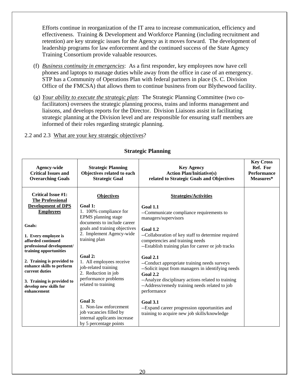Efforts continue in reorganization of the IT area to increase communication, efficiency and effectiveness. Training & Development and Workforce Planning (including recruitment and retention) are key strategic issues for the Agency as it moves forward. The development of leadership programs for law enforcement and the continued success of the State Agency Training Consortium provide valuable resources.

- (f) *Business continuity in emergencies*: As a first responder, key employees now have cell phones and laptops to manage duties while away from the office in case of an emergency. STP has a Community of Operations Plan with federal partners in place (S. C. Division Office of the FMCSA) that allows them to continue business from our Blythewood facility.
- (g) *Your ability to execute the strategic plan*: The Strategic Planning Committee (two cofacilitators) oversees the strategic planning process, trains and informs management and liaisons, and develops reports for the Director. Division Liaisons assist in facilitating strategic planning at the Division level and are responsible for ensuring staff members are informed of their roles regarding strategic planning.

#### 2.2 and 2.3 What are your key strategic objectives?

| <b>Strategic Planning</b><br>Agency-wide<br><b>Critical Issues and</b><br>Objectives related to each<br><b>Strategic Goal</b><br><b>Overarching Goals</b>                                                                                                                                                                                                                |                                                                                                                                                                                                                                                                                                                                 | <b>Key Agency</b><br><b>Action Plan/Initiative(s)</b><br>related to Strategic Goals and Objectives                                                                                                                                                                                                                                                                                                                                                                                                                           | <b>Key Cross</b><br>Ref. For<br><b>Performance</b><br>Measures* |
|--------------------------------------------------------------------------------------------------------------------------------------------------------------------------------------------------------------------------------------------------------------------------------------------------------------------------------------------------------------------------|---------------------------------------------------------------------------------------------------------------------------------------------------------------------------------------------------------------------------------------------------------------------------------------------------------------------------------|------------------------------------------------------------------------------------------------------------------------------------------------------------------------------------------------------------------------------------------------------------------------------------------------------------------------------------------------------------------------------------------------------------------------------------------------------------------------------------------------------------------------------|-----------------------------------------------------------------|
| <b>Critical Issue #1:</b><br><b>The Professional</b><br><b>Development of DPS</b><br><b>Employees</b><br>Goals:<br>1. Every employee is<br>afforded continued<br>professional development/<br>training opportunities<br>2. Training is provided to<br>enhance skills to perform<br>current duties<br>3. Training is provided to<br>develop new skills for<br>enhancement | <b>Objectives</b><br>Goal 1:<br>1. 100% compliance for<br>EPMS planning stage<br>documents to include career<br>goals and training objectives<br>2. Implement Agency-wide<br>training plan<br>Goal 2:<br>1. All employees receive<br>job-related training<br>2. Reduction in job<br>performance problems<br>related to training | <b>Strategies/Activities</b><br>Goal 1.1<br>--Communicate compliance requirements to<br>managers/supervisors<br>Goal 1.2<br>--Collaboration of key staff to determine required<br>competencies and training needs<br>--Establish training plan for career or job tracks<br>Goal 2.1<br>--Conduct appropriate training needs surveys<br>--Solicit input from managers in identifying needs<br>Goal 2.2<br>--Analyze disciplinary actions related to training<br>--Address/remedy training needs related to job<br>performance |                                                                 |
|                                                                                                                                                                                                                                                                                                                                                                          | Goal 3:<br>1. Non-law enforcement<br>job vacancies filled by<br>internal applicants increase<br>by 5 percentage points                                                                                                                                                                                                          | <b>Goal 3.1</b><br>--Expand career progression opportunities and<br>training to acquire new job skills/knowledge                                                                                                                                                                                                                                                                                                                                                                                                             |                                                                 |

## **Strategic Planning**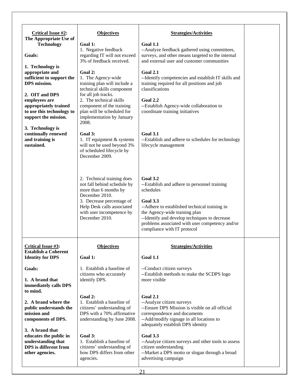| <b>Critical Issue #2:</b>                         | <b>Objectives</b>                                         | <b>Strategies/Activities</b>                                                                       |  |
|---------------------------------------------------|-----------------------------------------------------------|----------------------------------------------------------------------------------------------------|--|
| The Appropriate Use of                            |                                                           |                                                                                                    |  |
| <b>Technology</b>                                 | Goal 1:                                                   | <b>Goal 1.1</b>                                                                                    |  |
| Goals:                                            | 1. Negative feedback<br>regarding IT will not exceed      | --Analyze feedback gathered using committees,<br>surveys, and other means targeted to the internal |  |
|                                                   | 3% of feedback received.                                  | and external user and customer communities                                                         |  |
| 1. Technology is                                  |                                                           |                                                                                                    |  |
| appropriate and                                   | Goal 2:                                                   | <b>Goal 2.1</b>                                                                                    |  |
| sufficient to support the                         | 1. The Agency-wide                                        | --Identify competencies and establish IT skills and                                                |  |
| DPS mission.                                      | training plan will include a                              | training required for all positions and job                                                        |  |
| 2. OIT and DPS                                    | technical skills component<br>for all job tracks.         | classifications                                                                                    |  |
| employees are                                     | 2. The technical skills                                   | <b>Goal 2.2</b>                                                                                    |  |
| appropriately trained                             | component of the training                                 | --Establish Agency-wide collaboration to                                                           |  |
| to use this technology to                         | plan will be scheduled for                                | coordinate training initiatives                                                                    |  |
| support the mission.                              | implementation by January                                 |                                                                                                    |  |
| 3. Technology is                                  | 2008.                                                     |                                                                                                    |  |
| continually renewed                               | Goal 3:                                                   | <b>Goal 3.1</b>                                                                                    |  |
| and training is                                   | 1. IT equipment $&$ systems                               | --Establish and adhere to schedules for technology                                                 |  |
| sustained.                                        | will not be used beyond 3%                                | lifecycle management                                                                               |  |
|                                                   | of scheduled lifecycle by                                 |                                                                                                    |  |
|                                                   | December 2009.                                            |                                                                                                    |  |
|                                                   |                                                           |                                                                                                    |  |
|                                                   |                                                           |                                                                                                    |  |
|                                                   | 2. Technical training does                                | <b>Goal 3.2</b>                                                                                    |  |
|                                                   | not fall behind schedule by                               | --Establish and adhere to personnel training                                                       |  |
|                                                   | more than 6 months by                                     | schedules                                                                                          |  |
|                                                   | December 2010.<br>3. Decrease percentage of               | <b>Goal 3.3</b>                                                                                    |  |
|                                                   | Help Desk calls associated                                | --Adhere to established technical training in                                                      |  |
|                                                   | with user incompetence by                                 | the Agency-wide training plan                                                                      |  |
|                                                   | December 2010.                                            | --Identify and develop techniques to decrease                                                      |  |
|                                                   |                                                           | problems associated with user competency and/or                                                    |  |
|                                                   |                                                           | compliance with IT protocol                                                                        |  |
|                                                   |                                                           |                                                                                                    |  |
| Critical Issue #3:<br><b>Establish a Coherent</b> | <b>Objectives</b>                                         | <b>Strategies/Activities</b>                                                                       |  |
| <b>Identity for DPS</b>                           | Goal 1:                                                   | <b>Goal 1.1</b>                                                                                    |  |
|                                                   |                                                           |                                                                                                    |  |
| Goals:                                            | 1. Establish a baseline of                                | --Conduct citizen surveys                                                                          |  |
|                                                   | citizens who accurately                                   | --Establish methods to make the SCDPS logo                                                         |  |
| 1. A brand that<br>immediately calls DPS          | identify DPS.                                             | more visible                                                                                       |  |
| to mind.                                          |                                                           |                                                                                                    |  |
|                                                   | Goal 2:                                                   | <b>Goal 2.1</b>                                                                                    |  |
| 2. A brand where the                              | 1. Establish a baseline of                                | --Analyze citizen surveys                                                                          |  |
| public understands the                            | citizens' understanding of                                | --Ensure DPS Mission is visible on all official                                                    |  |
| mission and                                       | DPS with a 70% affirmative<br>understanding by June 2008. | correspondence and documents                                                                       |  |
| components of DPS.                                |                                                           | --Add/modify signage in all locations to<br>adequately establish DPS identity                      |  |
| 3. A brand that                                   |                                                           |                                                                                                    |  |
| educates the public in                            | Goal 3:                                                   | <b>Goal 3.3</b>                                                                                    |  |
| understanding that                                | 1. Establish a baseline of                                | --Analyze citizen surveys and other tools to assess                                                |  |
| <b>DPS</b> is different from                      | citizens' understanding of                                | citizen understanding                                                                              |  |
| other agencies.                                   | how DPS differs from other<br>agencies.                   | --Market a DPS motto or slogan through a broad<br>advertising campaign                             |  |
|                                                   |                                                           |                                                                                                    |  |
|                                                   |                                                           |                                                                                                    |  |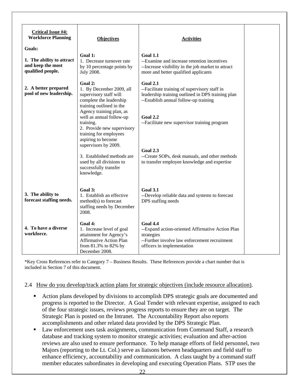| <b>Critical Issue #4:</b><br><b>Workforce Planning</b><br><b>Goals:</b><br>1. The ability to attract<br>and keep the most<br>qualified people. | <b>Objectives</b><br>Goal 1:<br>1. Decrease turnover rate<br>by 10 percentage points by<br>July 2008.                                                                                                                                                                                                                                                                                            | <b>Activities</b><br>Goal 1.1<br>--Examine and increase retention incentives<br>--Increase visibility in the job market to attract<br>more and better qualified applicants                                                                                                                                                               |  |
|------------------------------------------------------------------------------------------------------------------------------------------------|--------------------------------------------------------------------------------------------------------------------------------------------------------------------------------------------------------------------------------------------------------------------------------------------------------------------------------------------------------------------------------------------------|------------------------------------------------------------------------------------------------------------------------------------------------------------------------------------------------------------------------------------------------------------------------------------------------------------------------------------------|--|
| 2. A better prepared<br>pool of new leadership.                                                                                                | Goal 2:<br>1. By December 2009, all<br>supervisory staff will<br>complete the leadership<br>training outlined in the<br>Agency training plan, as<br>well as annual follow-up<br>training.<br>2. Provide new supervisory<br>training for employees<br>aspiring to become<br>supervisors by 2009.<br>3. Established methods are<br>used by all divisions to<br>successfully transfer<br>knowledge. | Goal 2.1<br>--Facilitate training of supervisory staff in<br>leadership training outlined in DPS training plan<br>--Establish annual follow-up training<br>Goal 2.2<br>--Facilitate new supervisor training program<br><b>Goal 2.3</b><br>--Create SOPs, desk manuals, and other methods<br>to transfer employee knowledge and expertise |  |
| 3. The ability to<br>forecast staffing needs.                                                                                                  | Goal 3:<br>1. Establish an effective<br>method(s) to forecast<br>staffing needs by December<br>2008.                                                                                                                                                                                                                                                                                             | <b>Goal 3.1</b><br>--Develop reliable data and systems to forecast<br>DPS staffing needs                                                                                                                                                                                                                                                 |  |
| 4. To have a diverse<br>workforce.                                                                                                             | Goal 4:<br>1. Increase level of goal<br>attainment for Agency's<br><b>Affirmative Action Plan</b><br>from 81.3% to 82% by<br>December 2008.                                                                                                                                                                                                                                                      | <b>Goal 4.4</b><br>--Expand action-oriented Affirmative Action Plan<br>strategies<br>--Further involve law enforcement recruitment<br>officers in implementation                                                                                                                                                                         |  |

\*Key Cross References refer to Category 7 – Business Results. These References provide a chart number that is included in Section 7 of this document.

#### 2.4 How do you develop/track action plans for strategic objectives (include resource allocation).

- Action plans developed by divisions to accomplish DPS strategic goals are documented and progress is reported to the Director. A Goal Tender with relevant expertise, assigned to each of the four strategic issues, reviews progress reports to ensure they are on target. The Strategic Plan is posted on the Intranet. The Accountability Report also reports accomplishments and other related data provided by the DPS Strategic Plan.
- Law enforcement uses task assignments, communication from Command Staff, a research database and tracking system to monitor strategic activities; evaluation and after-action reviews are also used to ensure performance. To help manage efforts of field personnel, two Majors (reporting to the Lt. Col.) serve as liaisons between headquarters and field staff to enhance efficiency, accountability and communication. A class taught by a command staff member educates subordinates in developing and executing Operation Plans. STP uses the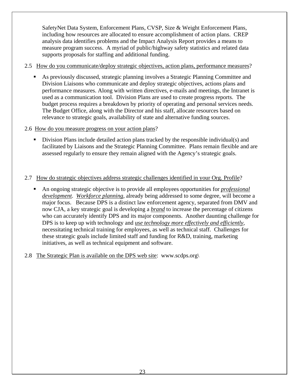SafetyNet Data System, Enforcement Plans, CVSP, Size & Weight Enforcement Plans, including how resources are allocated to ensure accomplishment of action plans. CREP analysis data identifies problems and the Impact Analysis Report provides a means to measure program success. A myriad of public/highway safety statistics and related data supports proposals for staffing and additional funding.

#### 2.5 How do you communicate/deploy strategic objectives, action plans, performance measures?

- As previously discussed, strategic planning involves a Strategic Planning Committee and Division Liaisons who communicate and deploy strategic objectives, actions plans and performance measures. Along with written directives, e-mails and meetings, the Intranet is used as a communication tool. Division Plans are used to create progress reports. The budget process requires a breakdown by priority of operating and personal services needs. The Budget Office, along with the Director and his staff, allocate resources based on relevance to strategic goals, availability of state and alternative funding sources.
- 2.6 How do you measure progress on your action plans?
	- Division Plans include detailed action plans tracked by the responsible individual(s) and facilitated by Liaisons and the Strategic Planning Committee. Plans remain flexible and are assessed regularly to ensure they remain aligned with the Agency's strategic goals.

## 2.7 How do strategic objectives address strategic challenges identified in your Org. Profile?

- An ongoing strategic objective is to provide all employees opportunities for *professional development*. *Workforce planning*, already being addressed to some degree, will become a major focus. Because DPS is a distinct law enforcement agency, separated from DMV and now CJA, a key strategic goal is developing a *brand* to increase the percentage of citizens who can accurately identify DPS and its major components. Another daunting challenge for DPS is to keep up with technology and *use technology more effectively and efficiently*, necessitating technical training for employees, as well as technical staff. Challenges for these strategic goals include limited staff and funding for R&D, training, marketing initiatives, as well as technical equipment and software.
- 2.8 The Strategic Plan is available on the DPS web site: www.scdps.org\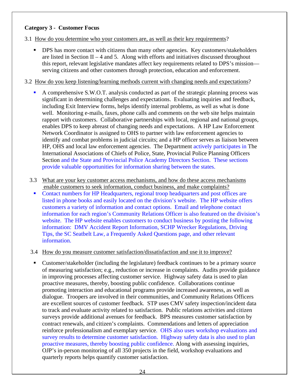#### **Category 3 - Customer Focus**

3.1 How do you determine who your customers are, as well as their key requirements?

**DPS** has more contact with citizens than many other agencies. Key customers/stakeholders are listed in Section II – 4 and 5. Along with efforts and initiatives discussed throughout this report, relevant legislative mandates affect key requirements related to DPS's mission serving citizens and other customers through protection, education and enforcement.

#### 3.2 How do you keep listening/learning methods current with changing needs and expectations?

- A comprehensive S.W.O.T. analysis conducted as part of the strategic planning process was significant in determining challenges and expectations. Evaluating inquiries and feedback, including Exit Interview forms, helps identify internal problems, as well as what is done well. Monitoring e-mails, faxes, phone calls and comments on the web site helps maintain rapport with customers. Collaborative partnerships with local, regional and national groups, enables DPS to keep abreast of changing needs and expectations. A HP Law Enforcement Network Coordinator is assigned to OHS to partner with law enforcement agencies to identify and combat problems in judicial circuits; and a HP officer serves as liaison between HP, OHS and local law enforcement agencies. The Department actively participates in The International Associations of Chiefs of Police, State, Provincial Police Planning Officers Section and the State and Provincial Police Academy Directors Section. These sections provide valuable opportunities for information sharing between the states.
- 3.3 What are your key customer access mechanisms, and how do these access mechanisms enable customers to seek information, conduct business, and make complaints?
	- Contact numbers for HP Headquarters, regional troop headquarters and post offices are listed in phone books and easily located on the division's website. The HP website offers customers a variety of information and contact options. Email and telephone contact information for each region's Community Relations Officer is also featured on the division's website. The HP website enables customers to conduct business by posting the following information: DMV Accident Report Information, SCHP Wrecker Regulations, Driving Tips, the SC Seatbelt Law, a Frequently Asked Questions page, and other relevant information.

3.4 How do you measure customer satisfaction/dissatisfaction and use it to improve?

 Customer/stakeholder (including the legislature) feedback continues to be a primary source of measuring satisfaction; e.g., reduction or increase in complaints. Audits provide guidance in improving processes affecting customer service. Highway safety data is used to plan proactive measures, thereby, boosting public confidence. Collaborations continue promoting interaction and educational programs provide increased awareness, as well as dialogue. Troopers are involved in their communities, and Community Relations Officers are excellent sources of customer feedback. STP uses CMV safety inspection/incident data to track and evaluate activity related to satisfaction. Public relations activities and citizen surveys provide additional avenues for feedback. BPS measures customer satisfaction by contract renewals, and citizen's complaints. Commendations and letters of appreciation reinforce professionalism and exemplary service. OHS also uses workshop evaluations and survey results to determine customer satisfaction. Highway safety data is also used to plan proactive measures, thereby boosting public confidence. Along with assessing inquiries, OJP's in-person monitoring of all 350 projects in the field, workshop evaluations and quarterly reports helps quantify customer satisfaction.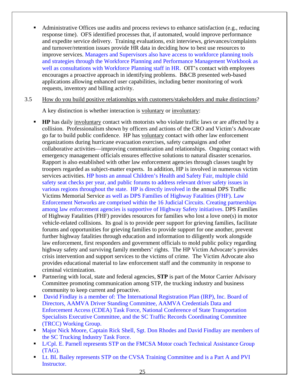Administrative Offices use audits and process reviews to enhance satisfaction (e.g., reducing response time). OFS identified processes that, if automated, would improve performance and expedite service delivery. Training evaluations, exit interviews, grievances/complaints and turnover/retention issues provide HR data in deciding how to best use resources to improve services. Managers and Supervisors also have access to workforce planning tools and strategies through the Workforce Planning and Performance Management Workbook as well as consultations with Workforce Planning staff in HR. OIT's contact with employees encourages a proactive approach in identifying problems. B&CB presented web-based applications allowing enhanced user capabilities, including better monitoring of work requests, inventory and billing activity.

#### 3.5 How do you build positive relationships with customers/stakeholders and make distinctions?

A key distinction is whether interaction is voluntary or involuntary:

- **HP** has daily involuntary contact with motorists who violate traffic laws or are affected by a collision. Professionalism shown by officers and actions of the CRO and Victim's Advocate go far to build public confidence. HP has voluntary contact with other law enforcement organizations during hurricane evacuation exercises, safety campaigns and other collaborative activities—improving communication and relationships. Ongoing contact with emergency management officials ensures effective solutions to natural disaster scenarios. Rapport is also established with other law enforcement agencies through classes taught by troopers regarded as subject-matter experts. In addition, HP is involved in numerous victim services activities. HP hosts an annual Children's Health and Safety Fair, multiple child safety seat checks per year, and public forums to address relevant driver safety issues in various regions throughout the state. HP is directly involved in the annual DPS Traffic Victims Memorial Service as well as DPS Families of Highway Fatalities (FHF). Law Enforcement Networks are comprised within the 16 Judicial Circuits. Creating partnerships among law enforcement agencies is supportive of Highway Safety initiatives. DPS Families of Highway Fatalities (FHF) provides resources for families who lost a love one(s) in motor vehicle-related collisions. Its goal is to provide peer support for grieving families, facilitate forums and opportunities for grieving families to provide support for one another, prevent further highway fatalities through education and information to diligently work alongside law enforcement, first responders and government officials to mold public policy regarding highway safety and surviving family members' rights. The HP Victim Advocate's provides crisis intervention and support services to the victims of crime. The Victim Advocate also provides educational material to law enforcement staff and the community in response to criminal victimization.
- Partnering with local, state and federal agencies, **STP** is part of the Motor Carrier Advisory Committee promoting communication among STP, the trucking industry and business community to keep current and proactive.
- David Findlay is a member of: The International Registration Plan (IRP), Inc. Board of Directors, AAMVA Driver Standing Committee, AAMVA Credentials Data and Enforcement Access (CDEA) Task Force, National Conference of State Transportation Specialists Executive Committee, and the SC Traffic Records Coordinating Committee (TRCC) Working Group.
- **Major Nick Moore, Captain Rick Shell, Sgt. Don Rhodes and David Findlay are members of** the SC Trucking Industry Task Force.
- L/Cpl. E. Parnell represents STP on the FMCSA Motor coach Technical Assistance Group (TAG).
- Lt. BL Bailey represents STP on the CVSA Training Committee and is a Part A and PVI Instructor.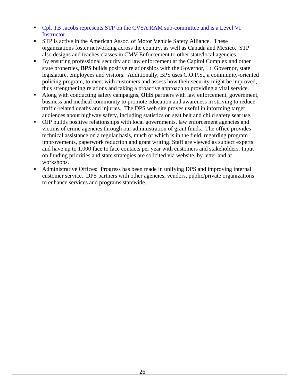- Cpl. TB Jacobs represents STP on the CVSA RAM sub-committee and is a Level VI Instructor.
- STP is active in the American Assoc. of Motor Vehicle Safety Alliance. These organizations foster networking across the country, as well as Canada and Mexico. STP also designs and teaches classes in CMV Enforcement to other state/local agencies.
- By ensuring professional security and law enforcement at the Capitol Complex and other state properties, **BPS** builds positive relationships with the Governor, Lt. Governor, state legislature, employees and visitors. Additionally, BPS uses C.O.P.S., a community-oriented policing program, to meet with customers and assess how their security might be improved, thus strengthening relations and taking a proactive approach to providing a vital service.
- Along with conducting safety campaigns, **OHS** partners with law enforcement, government, business and medical community to promote education and awareness in striving to reduce traffic-related deaths and injuries. The DPS web site proves useful in informing target audiences about highway safety, including statistics on seat belt and child safety seat use.
- OJP builds positive relationships with local governments, law enforcement agencies and victims of crime agencies through our administration of grant funds. The office provides technical assistance on a regular basis, much of which is in the field, regarding program improvements, paperwork reduction and grant writing. Staff are viewed as subject experts and have up to 1,000 face to face contacts per year with customers and stakeholders. Input on funding priorities and state strategies are solicited via website, by letter and at workshops.
- Administrative Offices: Progress has been made in unifying DPS and improving internal customer service. DPS partners with other agencies, vendors, public/private organizations to enhance services and programs statewide.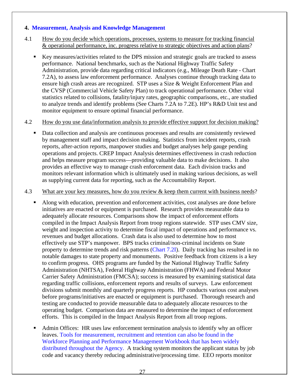#### **4. Measurement, Analysis and Knowledge Management**

- 4.1 How do you decide which operations, processes, systems to measure for tracking financial & operational performance, inc. progress relative to strategic objectives and action plans?
	- Key measures/activities related to the DPS mission and strategic goals are tracked to assess performance. National benchmarks, such as the National Highway Traffic Safety Administration, provide data regarding critical indicators (e.g., Mileage Death Rate - Chart 7.2A), to assess law enforcement performance. Analyses continue through tracking data to ensure high crash areas are recognized. STP uses a Size & Weight Enforcement Plan and the CVSP (Commercial Vehicle Safety Plan) to track operational performance. Other vital statistics related to collisions, fatality/injury rates, geographic comparisons, etc., are studied to analyze trends and identify problems (See Charts 7.2A to 7.2E). HP's R&D Unit test and monitor equipment to ensure optimal financial performance.

#### 4.2 How do you use data/information analysis to provide effective support for decision making?

 Data collection and analysis are continuous processes and results are consistently reviewed by management staff and impact decision making. Statistics from incident reports, crash reports, after-action reports, manpower studies and budget analyses help gauge pending operations and projects. CREP Impact Analysis determines effectiveness in crash reduction and helps measure program success—providing valuable data to make decisions. It also provides an effective way to manage crash enforcement data. Each division tracks and monitors relevant information which is ultimately used in making various decisions, as well as supplying current data for reporting, such as the Accountability Report.

#### 4.3 What are your key measures, how do you review & keep them current with business needs?

- Along with education, prevention and enforcement activities, cost analyses are done before initiatives are enacted or equipment is purchased. Research provides measurable data to adequately allocate resources. Comparisons show the impact of enforcement efforts compiled in the Impact Analysis Report from troop regions statewide. STP uses CMV size, weight and inspection activity to determine fiscal impact of operations and performance vs. revenues and budget allocations. Crash data is also used to determine how to most effectively use STP's manpower. BPS tracks criminal/non-criminal incidents on State property to determine trends and risk patterns (Chart 7.2I). Daily tracking has resulted in no notable damages to state property and monuments. Positive feedback from citizens is a key to confirm progress. OHS programs are funded by the National Highway Traffic Safety Administration (NHTSA), Federal Highway Administration (FHWA) and Federal Motor Carrier Safety Administration (FMCSA); success is measured by examining statistical data regarding traffic collisions, enforcement reports and results of surveys. Law enforcement divisions submit monthly and quarterly progress reports. HP conducts various cost analyses before programs/initiatives are enacted or equipment is purchased. Thorough research and testing are conducted to provide measurable data to adequately allocate resources to the operating budget. Comparison data are measured to determine the impact of enforcement efforts. This is compiled in the Impact Analysis Report from all troop regions.
- Admin Offices: HR uses law enforcement termination analysis to identify why an officer leaves. Tools for measurement, recruitment and retention can also be found in the Workforce Planning and Performance Management Workbook that has been widely distributed throughout the Agency. A tracking system monitors the applicant status by job code and vacancy thereby reducing administrative/processing time. EEO reports monitor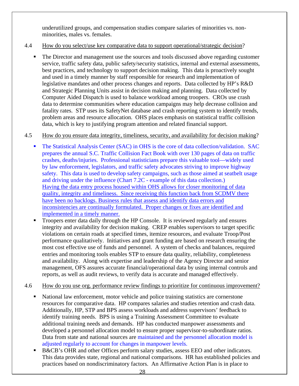underutilized groups, and compensation studies compare salaries of minorities vs. nonminorities, males vs. females.

#### 4.4 How do you select/use key comparative data to support operational/strategic decision?

 The Director and management use the sources and tools discussed above regarding customer service, traffic safety data, public safety/security statistics, internal and external assessments, best practices, and technology to support decision making. This data is proactively sought and used in a timely manner by staff responsible for research and implementation of legislative mandates and other process changes and reports. Data collected by HP's R&D and Strategic Planning Units assist in decision making and planning. Data collected by Computer Aided Dispatch is used to balance workload among troopers. CROs use crash data to determine communities where education campaigns may help decrease collision and fatality rates. STP uses its SafetyNet database and crash reporting system to identify trends, problem areas and resource allocation. OHS places emphasis on statistical traffic collision data, which is key to justifying program attention and related financial support.

#### 4.5 How do you ensure data integrity, timeliness, security, and availability for decision making?

- The Statistical Analysis Center (SAC) in OHS is the core of data collection/validation. SAC prepares the annual S.C. Traffic Collision Fact Book with over 130 pages of data on traffic crashes, deaths/injuries. Professional statisticians prepare this valuable tool—widely used by law enforcement, legislators, and traffic safety advocates striving to improve highway safety. This data is used to develop safety campaigns, such as those aimed at seatbelt usage and driving under the influence (Chart 7.2C - example of this data collection.) Having the data entry process housed within OHS allows for closer monitoring of data quality, integrity and timeliness. Since receiving this function back from SCDMV there have been no backlogs. Business rules that assess and identify data errors and inconsistencies are continually formulated. Proper changes or fixes are identified and implemented in a timely manner.
- Troopers enter data daily through the HP Console. It is reviewed regularly and ensures integrity and availability for decision making. CREP enables supervisors to target specific violations on certain roads at specified times, itemize resources, and evaluate Troop/Post performance qualitatively. Initiatives and grant funding are based on research ensuring the most cost effective use of funds and personnel. A system of checks and balances, required entries and monitoring tools enables STP to ensure data quality, reliability, completeness and availability. Along with expertise and leadership of the Agency Director and senior management, OFS assures accurate financial/operational data by using internal controls and reports, as well as audit reviews, to verify data is accurate and managed effectively.

#### 4.6 How do you use org. performance review findings to prioritize for continuous improvement?

- National law enforcement, motor vehicle and police training statistics are cornerstone resources for comparative data. HP compares salaries and studies retention and crash data. Additionally, HP, STP and BPS assess workloads and address supervisors' feedback to identify training needs. BPS is using a Training Assessment Committee to evaluate additional training needs and demands. HP has conducted manpower assessments and developed a personnel allocation model to ensure proper supervisor-to-subordinate ratios. Data from state and national sources are maintained and the personnel allocation model is adjusted regularly to account for changes in manpower levels.
- B&CB's OHR and other Offices perform salary studies, assess EEO and other indicators. This data provides state, regional and national comparisons. HR has established policies and practices based on nondiscriminatory factors. An Affirmative Action Plan is in place to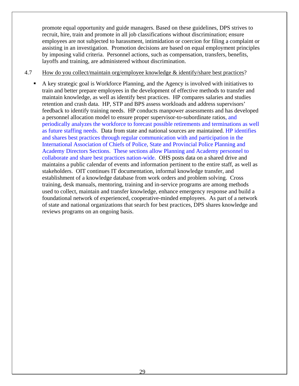promote equal opportunity and guide managers. Based on these guidelines, DPS strives to recruit, hire, train and promote in all job classifications without discrimination; ensure employees are not subjected to harassment, intimidation or coercion for filing a complaint or assisting in an investigation. Promotion decisions are based on equal employment principles by imposing valid criteria. Personnel actions, such as compensation, transfers, benefits, layoffs and training, are administered without discrimination.

#### 4.7 How do you collect/maintain org/employee knowledge & identify/share best practices?

 A key strategic goal is Workforce Planning, and the Agency is involved with initiatives to train and better prepare employees in the development of effective methods to transfer and maintain knowledge, as well as identify best practices. HP compares salaries and studies retention and crash data. HP, STP and BPS assess workloads and address supervisors' feedback to identify training needs. HP conducts manpower assessments and has developed a personnel allocation model to ensure proper supervisor-to-subordinate ratios, and periodically analyzes the workforce to forecast possible retirements and terminations as well as future staffing needs. Data from state and national sources are maintained. HP identifies and shares best practices through regular communication with and participation in the International Association of Chiefs of Police, State and Provincial Police Planning and Academy Directors Sections. These sections allow Planning and Academy personnel to collaborate and share best practices nation-wide. OHS posts data on a shared drive and maintains a public calendar of events and information pertinent to the entire staff, as well as stakeholders. OIT continues IT documentation, informal knowledge transfer, and establishment of a knowledge database from work orders and problem solving. Cross training, desk manuals, mentoring, training and in-service programs are among methods used to collect, maintain and transfer knowledge, enhance emergency response and build a foundational network of experienced, cooperative-minded employees. As part of a network of state and national organizations that search for best practices, DPS shares knowledge and reviews programs on an ongoing basis.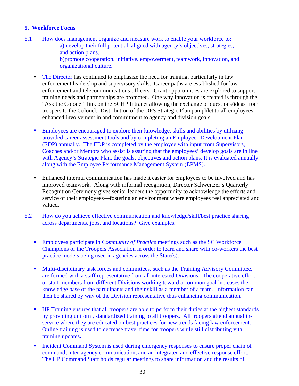#### **5. Workforce Focus**

organizational culture.

- 5.1 How does management organize and measure work to enable your workforce to: a) develop their full potential, aligned with agency's objectives, strategies, and action plans. b)promote cooperation, initiative, empowerment, teamwork, innovation, and
	- The Director has continued to emphasize the need for training, particularly in law enforcement leadership and supervisory skills. Career paths are established for law enforcement and telecommunications officers. Grant opportunities are explored to support training needs and partnerships are promoted. One way innovation is created is through the "Ask the Colonel" link on the SCHP Intranet allowing the exchange of questions/ideas from troopers to the Colonel. Distribution of the DPS Strategic Plan pamphlet to all employees enhanced involvement in and commitment to agency and division goals.
	- **Employees are encouraged to explore their knowledge, skills and abilities by utilizing** provided career assessment tools and by completing an Employee Development Plan (EDP) annually. The EDP is completed by the employee with input from Supervisors, Coaches and/or Mentors who assist is assuring that the employees' develop goals are in line with Agency's Strategic Plan, the goals, objectives and action plans. It is evaluated annually along with the Employee Performance Management System (EPMS).
	- Enhanced internal communication has made it easier for employees to be involved and has improved teamwork. Along with informal recognition, Director Schweitzer's Quarterly Recognition Ceremony gives senior leaders the opportunity to acknowledge the efforts and service of their employees—fostering an environment where employees feel appreciated and valued.
- 5.2 How do you achieve effective communication and knowledge/skill/best practice sharing across departments, jobs, and locations? Give examples**.** 
	- Employees participate in C*ommunity of Practice* meetings such as the SC Workforce Champions or the Troopers Association in order to learn and share with co-workers the best practice models being used in agencies across the State(s).
	- **Multi-disciplinary task forces and committees, such as the Training Advisory Committee,** are formed with a staff representative from all interested Divisions. The cooperative effort of staff members from different Divisions working toward a common goal increases the knowledge base of the participants and their skill as a member of a team. Information can then be shared by way of the Division representative thus enhancing communication.
	- HP Training ensures that all troopers are able to perform their duties at the highest standards by providing uniform, standardized training to all troopers. All troopers attend annual inservice where they are educated on best practices for new trends facing law enforcement. Online training is used to decrease travel time for troopers while still distributing vital training updates**.**
	- Incident Command System is used during emergency responses to ensure proper chain of command, inter-agency communication, and an integrated and effective response effort. The HP Command Staff holds regular meetings to share information and the results of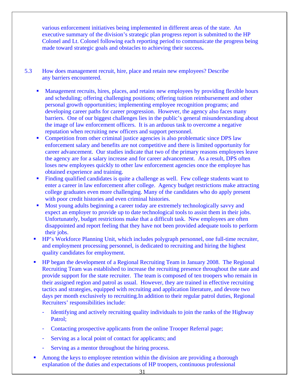various enforcement initiatives being implemented in different areas of the state. An executive summary of the division's strategic plan progress report is submitted to the HP Colonel and Lt. Colonel following each reporting period to communicate the progress being made toward strategic goals and obstacles to achieving their success**.** 

- 5.3 How does management recruit, hire, place and retain new employees? Describe any barriers encountered.
	- **Management recruits, hires, places, and retains new employees by providing flexible hours** and scheduling; offering challenging positions; offering tuition reimbursement and other personal growth opportunities; implementing employee recognition programs; and developing career paths for career progression. However, the agency also faces many barriers. One of our biggest challenges lies in the public's general misunderstanding about the image of law enforcement officers. It is an arduous task to overcome a negative reputation when recruiting new officers and support personnel.
	- Competition from other criminal justice agencies is also problematic since DPS law enforcement salary and benefits are not competitive and there is limited opportunity for career advancement. Our studies indicate that two of the primary reasons employees leave the agency are for a salary increase and for career advancement. As a result, DPS often loses new employees quickly to other law enforcement agencies once the employee has obtained experience and training.
	- Finding qualified candidates is quite a challenge as well. Few college students want to enter a career in law enforcement after college. Agency budget restrictions make attracting college graduates even more challenging. Many of the candidates who do apply present with poor credit histories and even criminal histories.
	- Most young adults beginning a career today are extremely technologically savvy and expect an employer to provide up to date technological tools to assist them in their jobs. Unfortunately, budget restrictions make that a difficult task. New employees are often disappointed and report feeling that they have not been provided adequate tools to perform their jobs.
	- HP's Workforce Planning Unit, which includes polygraph personnel, one full-time recruiter, and employment processing personnel, is dedicated to recruiting and hiring the highest quality candidates for employment.
	- HP began the development of a Regional Recruiting Team in January 2008. The Regional Recruiting Team was established to increase the recruiting presence throughout the state and provide support for the state recruiter. The team is composed of ten troopers who remain in their assigned region and patrol as usual. However, they are trained in effective recruiting tactics and strategies, equipped with recruiting and application literature, and devote two days per month exclusively to recruiting.In addition to their regular patrol duties, Regional Recruiters' responsibilities include:
		- Identifying and actively recruiting quality individuals to join the ranks of the Highway Patrol;
		- Contacting prospective applicants from the online Trooper Referral page;
		- Serving as a local point of contact for applicants; and
		- Serving as a mentor throughout the hiring process.
	- Among the keys to employee retention within the division are providing a thorough explanation of the duties and expectations of HP troopers, continuous professional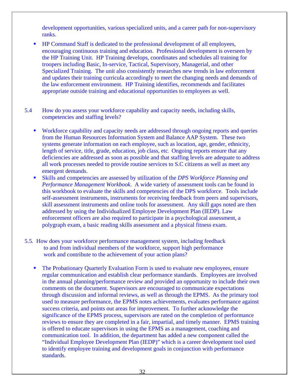development opportunities, various specialized units, and a career path for non-supervisory ranks.

- HP Command Staff is dedicated to the professional development of all employees, encouraging continuous training and education. Professional development is overseen by the HP Training Unit. HP Training develops, coordinates and schedules all training for troopers including Basic, In-service, Tactical, Supervisory, Managerial, and other Specialized Training. The unit also consistently researches new trends in law enforcement and updates their training curricula accordingly to meet the changing needs and demands of the law enforcement environment. HP Training identifies, recommends and facilitates appropriate outside training and educational opportunities to employees as well.
- 5.4 How do you assess your workforce capability and capacity needs, including skills, competencies and staffing levels?
	- Workforce capability and capacity needs are addressed through ongoing reports and queries from the Human Resources Information System and Balance AAP System. These two systems generate information on each employee, such as location, age, gender, ethnicity, length of service, title, grade, education, job class, etc. Ongoing reports ensure that any deficiencies are addressed as soon as possible and that staffing levels are adequate to address all work processes needed to provide routine services to S.C citizens as well as meet any emergent demands.
	- Skills and competencies are assessed by utilization of the *DPS Workforce Planning and Performance Management Workbook*. A wide variety of assessment tools can be found in this workbook to evaluate the skills and competencies of the DPS workforce. Tools include self-assessment instruments, instruments for receiving feedback from peers and supervisors, skill assessment instruments and online tools for assessment. Any skill gaps noted are then addressed by using the Individualized Employee Development Plan (IEDP). Law enforcement officers are also required to participate in a psychological assessment, a polygraph exam, a basic reading skills assessment and a physical fitness exam.
- 5.5. How does your workforce performance management system, including feedback to and from individual members of the workforce, support high performance work and contribute to the achievement of your action plans?
	- The Probationary Quarterly Evaluation Form is used to evaluate new employees, ensure regular communication and establish clear performance standards. Employees are involved in the annual planning/performance review and provided an opportunity to include their own comments on the document. Supervisors are encouraged to communicate expectations through discussion and informal reviews, as well as through the EPMS. As the primary tool used to measure performance, the EPMS notes achievements, evaluates performance against success criteria, and points out areas for improvement. To further acknowledge the significance of the EPMS process, supervisors are rated on the completion of performance reviews to ensure they are completed in a fair, impartial, and timely manner. EPMS training is offered to educate supervisors in using the EPMS as a management, coaching and communication tool. In addition, the department has added a new component called the "Individual Employee Development Plan (IEDP)" which is a career development tool used to identify employee training and development goals in conjunction with performance standards.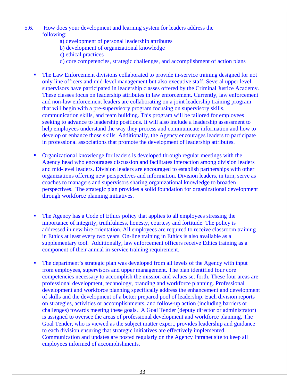- 5.6. How does your development and learning system for leaders address the following:
	- a) development of personal leadership attributes
	- b) development of organizational knowledge
	- c) ethical practices
	- d) core competencies, strategic challenges, and accomplishment of action plans
	- The Law Enforcement divisions collaborated to provide in-service training designed for not only line officers and mid-level management but also executive staff. Several upper level supervisors have participated in leadership classes offered by the Criminal Justice Academy. These classes focus on leadership attributes in law enforcement. Currently, law enforcement and non-law enforcement leaders are collaborating on a joint leadership training program that will begin with a pre-supervisory program focusing on supervisory skills, communication skills, and team building. This program will be tailored for employees seeking to advance to leadership positions. It will also include a leadership assessment to help employees understand the way they process and communicate information and how to develop or enhance those skills. Additionally, the Agency encourages leaders to participate in professional associations that promote the development of leadership attributes.
	- Organizational knowledge for leaders is developed through regular meetings with the Agency head who encourages discussion and facilitates interaction among division leaders and mid-level leaders. Division leaders are encouraged to establish partnerships with other organizations offering new perspectives and information. Division leaders, in turn, serve as coaches to managers and supervisors sharing organizational knowledge to broaden perspectives. The strategic plan provides a solid foundation for organizational development through workforce planning initiatives.
	- The Agency has a Code of Ethics policy that applies to all employees stressing the importance of integrity, truthfulness, honesty, courtesy and fortitude. The policy is addressed in new hire orientation. All employees are required to receive classroom training in Ethics at least every two years. On-line training in Ethics is also available as a supplementary tool. Additionally, law enforcement officers receive Ethics training as a component of their annual in-service training requirement.
	- The department's strategic plan was developed from all levels of the Agency with input from employees, supervisors and upper management. The plan identified four core competencies necessary to accomplish the mission and values set forth. These four areas are professional development, technology, branding and workforce planning. Professional development and workforce planning specifically address the enhancement and development of skills and the development of a better prepared pool of leadership. Each division reports on strategies, activities or accomplishments, and follow-up action (including barriers or challenges) towards meeting these goals. A Goal Tender (deputy director or administrator) is assigned to oversee the areas of professional development and workforce planning. The Goal Tender, who is viewed as the subject matter expert, provides leadership and guidance to each division ensuring that strategic initiatives are effectively implemented. Communication and updates are posted regularly on the Agency Intranet site to keep all employees informed of accomplishments.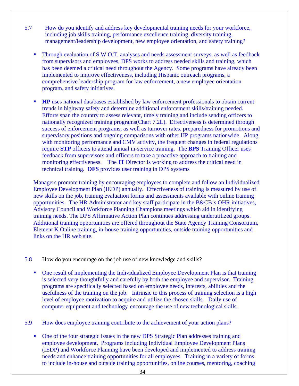- 5.7 How do you identify and address key developmental training needs for your workforce, including job skills training, performance excellence training, diversity training, management/leadership development, new employee orientation, and safety training?
	- **Through evaluation of S.W.O.T.** analyses and needs assessment surveys, as well as feedback from supervisors and employees, DPS works to address needed skills and training, which has been deemed a critical need throughout the Agency. Some programs have already been implemented to improve effectiveness, including Hispanic outreach programs, a comprehensive leadership program for law enforcement, a new employee orientation program, and safety initiatives.
	- **HP** uses national databases established by law enforcement professionals to obtain current trends in highway safety and determine additional enforcement skills/training needed. Efforts span the country to assess relevant, timely training and include sending officers to nationally recognized training programs(Chart 7.2L). Effectiveness is determined through success of enforcement programs, as well as turnover rates, preparedness for promotions and supervisory positions and ongoing comparisons with other HP programs nationwide. Along with monitoring performance and CMV activity, the frequent changes in federal regulations require **STP** officers to attend annual in-service training. The **BPS** Training Officer uses feedback from supervisors and officers to take a proactive approach to training and monitoring effectiveness. The **IT** Director is working to address the critical need in technical training. **OFS** provides user training in DPS systems

Managers promote training by encouraging employees to complete and follow an Individualized Employee Development Plan (IEDP) annually. Effectiveness of training is measured by use of new skills on the job, training evaluation forms and assessments available with online training opportunities. The HR Administrator and key staff participate in the B&CB's OHR initiatives, Advisory Council and Workforce Planning Champions meetings which aid in identifying training needs. The DPS Affirmative Action Plan continues addressing underutilized groups. Additional training opportunities are offered throughout the State Agency Training Consortium, Element K Online training, in-house training opportunities, outside training opportunities and links on the HR web site.

#### 5.8 How do you encourage on the job use of new knowledge and skills?

- One result of implementing the Individualized Employee Development Plan is that training is selected very thoughtfully and carefully by both the employee and supervisor. Training programs are specifically selected based on employee needs, interests, abilities and the usefulness of the training on the job. Intrinsic to this process of training selection is a high level of employee motivation to acquire and utilize the chosen skills. Daily use of computer equipment and technology encourage the use of new technological skills.
- 5.9 How does employee training contribute to the achievement of your action plans?
	- One of the four strategic issues in the new DPS Strategic Plan addresses training and employee development. Programs including Individual Employee Development Plans (IEDP) and Workforce Planning have been developed and implemented to address training needs and enhance training opportunities for all employees. Training in a variety of forms to include in-house and outside training opportunities, online courses, mentoring, coaching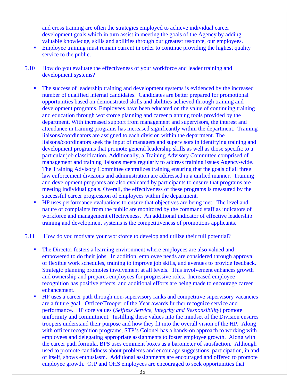and cross training are often the strategies employed to achieve individual career development goals which in turn assist in meeting the goals of the Agency by adding valuable knowledge, skills and abilities through our greatest resource, our employees.

- **Employee training must remain current in order to continue providing the highest quality** service to the public.
- 5.10 How do you evaluate the effectiveness of your workforce and leader training and development systems?
	- The success of leadership training and development systems is evidenced by the increased number of qualified internal candidates. Candidates are better prepared for promotional opportunities based on demonstrated skills and abilities achieved through training and development programs. Employees have been educated on the value of continuing training and education through workforce planning and career planning tools provided by the department. With increased support from management and supervisors, the interest and attendance in training programs has increased significantly within the department. Training liaisons/coordinators are assigned to each division within the department. The liaisons/coordinators seek the input of managers and supervisors in identifying training and development programs that promote general leadership skills as well as those specific to a particular job classification. Additionally, a Training Advisory Committee comprised of management and training liaisons meets regularly to address training issues Agency-wide. The Training Advisory Committee centralizes training ensuring that the goals of all three law enforcement divisions and administration are addressed in a unified manner. Training and development programs are also evaluated by participants to ensure that programs are meeting individual goals. Overall, the effectiveness of these programs is measured by the successful career progression of employees within the department.
	- **HP** uses performance evaluations to ensure that objectives are being met. The level and nature of complaints from the public are monitored by the command staff as indicators of workforce and management effectiveness. An additional indicator of effective leadership training and development systems is the competitiveness of promotions applicants.

#### 5.11 How do you motivate your workforce to develop and utilize their full potential?

- The Director fosters a learning environment where employees are also valued and empowered to do their jobs. In addition, employee needs are considered through approval of flexible work schedules, training to improve job skills, and avenues to provide feedback. Strategic planning promotes involvement at all levels. This involvement enhances growth and ownership and prepares employees for progressive roles. Increased employee recognition has positive effects, and additional efforts are being made to encourage career enhancement.
- HP uses a career path through non-supervisory ranks and competitive supervisory vacancies are a future goal. Officer/Trooper of the Year awards further recognize service and performance. HP core values (*Selfless Service, Integrity and Responsibility*) promote uniformity and commitment. Instilling these values into the mindset of the Division ensures troopers understand their purpose and how they fit into the overall vision of the HP. Along with officer recognition programs, STP's Colonel has a hands-on approach to working with employees and delegating appropriate assignments to foster employee growth. Along with the career path formula, BPS uses comment boxes as a barometer of satisfaction. Although used to promote candidness about problems and encourage suggestions, participation, in and of itself, shows enthusiasm. Additional assignments are encouraged and offered to promote employee growth. OJP and OHS employees are encouraged to seek opportunities that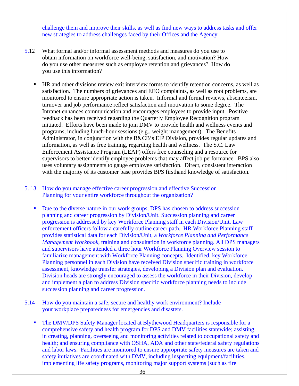challenge them and improve their skills, as well as find new ways to address tasks and offer new strategies to address challenges faced by their Offices and the Agency.

- 5.12 What formal and/or informal assessment methods and measures do you use to obtain information on workforce well-being, satisfaction, and motivation? How do you use other measures such as employee retention and grievances? How do you use this information?
	- HR and other divisions review exit interview forms to identify retention concerns, as well as satisfaction. The numbers of grievances and EEO complaints, as well as root problems, are monitored to ensure appropriate action is taken. Informal and formal reviews, absenteeism, turnover and job performance reflect satisfaction and motivation to some degree. The Intranet enhances communication and encourages employees to provide input. Positive feedback has been received regarding the Quarterly Employee Recognition program initiated. Efforts have been made to join DMV to provide health and wellness events and programs, including lunch-hour sessions (e.g., weight management). The Benefits Administrator, in conjunction with the B&CB's EIP Division, provides regular updates and information, as well as free training, regarding health and wellness. The S.C. Law Enforcement Assistance Program (LEAP) offers free counseling and a resource for supervisors to better identify employee problems that may affect job performance. BPS also uses voluntary assignments to gauge employee satisfaction. Direct, consistent interaction with the majority of its customer base provides BPS firsthand knowledge of satisfaction.

#### 5. 13. How do you manage effective career progression and effective Succession Planning for your entire workforce throughout the organization?

- Due to the diverse nature in our work groups, DPS has chosen to address succession planning and career progression by Division/Unit. Succession planning and career progression is addressed by key Workforce Planning staff in each Division/Unit. Law enforcement officers follow a carefully outline career path. HR Workforce Planning staff provides statistical data for each Division/Unit, a *Workforce Planning and Performance Management Workbook,* training and consultation in workforce planning. All DPS managers and supervisors have attended a three hour Workforce Planning Overview session to familiarize management with Workforce Planning concepts. Identified, key Workforce Planning personnel in each Division have received Division specific training in workforce assessment, knowledge transfer strategies, developing a Division plan and evaluation. Division heads are strongly encouraged to assess the workforce in their Division, develop and implement a plan to address Division specific workforce planning needs to include succession planning and career progression.
- 5.14 How do you maintain a safe, secure and healthy work environment? Include your workplace preparedness for emergencies and disasters.
	- The DMV/DPS Safety Manager located at Blythewood Headquarters is responsible for a comprehensive safety and health program for DPS and DMV facilities statewide; assisting in creating, planning, overseeing and monitoring activities related to occupational safety and health; and ensuring compliance with OSHA, ADA and other state/federal safety regulations and labor laws. Facilities are monitored to ensure appropriate safety measures are taken and safety initiatives are coordinated with DMV, including inspecting equipment/facilities, implementing life safety programs, monitoring major support systems (such as fire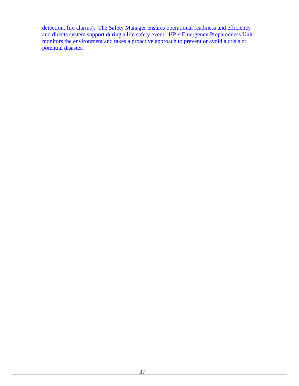detection, fire alarms). The Safety Manager ensures operational readiness and efficiency and directs system support during a life safety event. HP's Emergency Preparedness Unit monitors the environment and takes a proactive approach to prevent or avoid a crisis or potential disaster.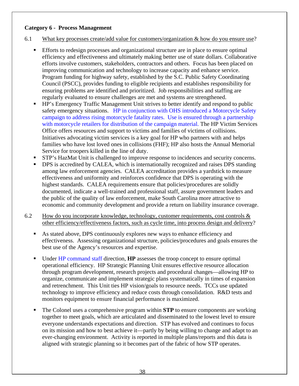#### **Category 6 - Process Management**

6.1 What key processes create/add value for customers/organization & how do you ensure use?

- Efforts to redesign processes and organizational structure are in place to ensure optimal efficiency and effectiveness and ultimately making better use of state dollars. Collaborative efforts involve customers, stakeholders, contractors and others. Focus has been placed on improving communication and technology to increase capacity and enhance service. Program funding for highway safety, established by the S.C. Public Safety Coordinating Council (PSCC), provides funding to eligible recipients and establishes responsibility for ensuring problems are identified and prioritized. Job responsibilities and staffing are regularly evaluated to ensure challenges are met and systems are strengthened.
- HP's Emergency Traffic Management Unit strives to better identify and respond to public safety emergency situations. HP in conjunction with OHS introduced a Motorcycle Safety campaign to address rising motorcycle fatality rates. Use is ensured through a partnership with motorcycle retailers for distribution of the campaign material. The HP Victim Services Office offers resources and support to victims and families of victims of collisions. Initiatives advocating victim services is a key goal for HP who partners with and helps families who have lost loved ones in collisions (FHF); HP also hosts the Annual Memorial Service for troopers killed in the line of duty.
- STP's HazMat Unit is challenged to improve response to incidences and security concerns.
- DPS is accredited by CALEA, which is internationally recognized and raises DPS standing among law enforcement agencies. CALEA accreditation provides a yardstick to measure effectiveness and uniformity and reinforces confidence that DPS is operating with the highest standards. CALEA requirements ensure that policies/procedures are solidly documented, indicate a well-trained and professional staff, assure government leaders and the public of the quality of law enforcement, make South Carolina more attractive to economic and community development and provide a return on liability insurance coverage.
- 6.2 How do you incorporate knowledge, technology, customer requirements, cost controls  $\&$ other efficiency/effectiveness factors, such as cycle time, into process design and delivery?
	- As stated above, DPS continuously explores new ways to enhance efficiency and effectiveness. Assessing organizational structure, policies/procedures and goals ensures the best use of the Agency's resources and expertise.
	- Under HP command staff direction, **HP** assesses the troop concept to ensure optimal operational efficiency. HP Strategic Planning Unit ensures effective resource allocation through program development, research projects and procedural changes—allowing HP to organize, communicate and implement strategic plans systematically in times of expansion and retrenchment. This Unit ties HP vision/goals to resource needs. TCCs use updated technology to improve efficiency and reduce costs through consolidation. R&D tests and monitors equipment to ensure financial performance is maximized.
	- The Colonel uses a comprehensive program within **STP** to ensure components are working together to meet goals, which are articulated and disseminated to the lowest level to ensure everyone understands expectations and direction. STP has evolved and continues to focus on its mission and how to best achieve it—partly by being willing to change and adapt to an ever-changing environment. Activity is reported in multiple plans/reports and this data is aligned with strategic planning so it becomes part of the fabric of how STP operates.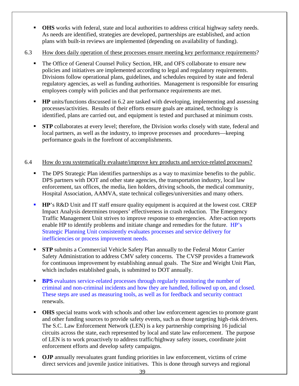- **OHS** works with federal, state and local authorities to address critical highway safety needs. As needs are identified, strategies are developed, partnerships are established, and action plans with built-in reviews are implemented (depending on availability of funding).
- 6.3 How does daily operation of these processes ensure meeting key performance requirements?
	- The Office of General Counsel Policy Section, HR, and OFS collaborate to ensure new policies and initiatives are implemented according to legal and regulatory requirements. Divisions follow operational plans, guidelines, and schedules required by state and federal regulatory agencies, as well as funding authorities. Management is responsible for ensuring employees comply with policies and that performance requirements are met.
	- **HP** units/functions discussed in 6.2 are tasked with developing, implementing and assessing processes/activities. Results of their efforts ensure goals are attained, technology is identified, plans are carried out, and equipment is tested and purchased at minimum costs.
	- **STP** collaborates at every level; therefore, the Division works closely with state, federal and local partners, as well as the industry, to improve processes and procedures—keeping performance goals in the forefront of accomplishments.

## 6.4 How do you systematically evaluate/improve key products and service-related processes?

- The DPS Strategic Plan identifies partnerships as a way to maximize benefits to the public. DPS partners with DOT and other state agencies, the transportation industry, local law enforcement, tax offices, the media, lien holders, driving schools, the medical community, Hospital Association, AAMVA, state technical colleges/universities and many others.
- **HP**'s R&D Unit and IT staff ensure quality equipment is acquired at the lowest cost. CREP Impact Analysis determines troopers' effectiveness in crash reduction. The Emergency Traffic Management Unit strives to improve response to emergencies. After-action reports enable HP to identify problems and initiate change and remedies for the future. HP's Strategic Planning Unit consistently evaluates processes and service delivery for inefficiencies or process improvement needs.
- **STP** submits a Commercial Vehicle Safety Plan annually to the Federal Motor Carrier Safety Administration to address CMV safety concerns. The CVSP provides a framework for continuous improvement by establishing annual goals. The Size and Weight Unit Plan, which includes established goals, is submitted to DOT annually.
- **BPS** evaluates service-related processes through regularly monitoring the number of criminal and non-criminal incidents and how they are handled, followed up on, and closed. These steps are used as measuring tools, as well as for feedback and security contract renewals.
- **OHS** special teams work with schools and other law enforcement agencies to promote grant and other funding sources to provide safety events, such as those targeting high-risk drivers. The S.C. Law Enforcement Network (LEN) is a key partnership comprising 16 judicial circuits across the state, each represented by local and state law enforcement. The purpose of LEN is to work proactively to address traffic/highway safety issues, coordinate joint enforcement efforts and develop safety campaigns.
- **OJP** annually reevaluates grant funding priorities in law enforcement, victims of crime direct services and juvenile justice initiatives. This is done through surveys and regional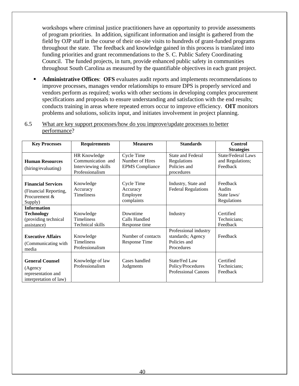workshops where criminal justice practitioners have an opportunity to provide assessments of program priorities. In addition, significant information and insight is gathered from the field by OJP staff in the course of their on-site visits to hundreds of grant-funded programs throughout the state. The feedback and knowledge gained in this process is translated into funding priorities and grant recommendations to the S. C. Public Safety Coordinating Council. The funded projects, in turn, provide enhanced public safety in communities throughout South Carolina as measured by the quantifiable objectives in each grant project.

**Administrative Offices: OFS** evaluates audit reports and implements recommendations to improve processes, manages vendor relationships to ensure DPS is properly serviced and vendors perform as required; works with other sections in developing complex procurement specifications and proposals to ensure understanding and satisfaction with the end results; conducts training in areas where repeated errors occur to improve efficiency. **OIT** monitors problems and solutions, solicits input, and initiates involvement in project planning.

#### 6.5 What are key support processes/how do you improve/update processes to better performance?

| <b>Key Processes</b>      | <b>Requirements</b>     | <b>Measures</b>        | <b>Standards</b>           | <b>Control</b>            |
|---------------------------|-------------------------|------------------------|----------------------------|---------------------------|
|                           |                         |                        |                            | <b>Strategies</b>         |
|                           | HR Knowledge            | Cycle Time             | <b>State and Federal</b>   | <b>State/Federal Laws</b> |
| <b>Human Resources</b>    | Communication and       | Number of Hires        | Regulations                | and Regulations;          |
| (hiring/evaluating)       | Interviewing skills     | <b>EPMS</b> Compliance | Policies and               | Feedback                  |
|                           | Professionalism         |                        | procedures                 |                           |
|                           |                         |                        |                            |                           |
| <b>Financial Services</b> | Knowledge               | Cycle Time             | Industry, State and        | Feedback                  |
| (Financial Reporting,     | Accuracy                | Accuracy               | <b>Federal Regulations</b> | Audits                    |
| Procurement &             | Timeliness              | Employee               |                            | State laws/               |
| Supply)                   |                         | complaints             |                            | Regulations               |
| <b>Information</b>        |                         |                        |                            |                           |
| <b>Technology</b>         | Knowledge               | Downtime               | Industry                   | Certified                 |
| (providing technical      | Timeliness              | Calls Handled          |                            | Technicians;              |
| assistance)               | <b>Technical skills</b> | Response time          |                            | Feedback                  |
|                           |                         |                        | Professional industry      |                           |
| <b>Executive Affairs</b>  | Knowledge               | Number of contacts     | standards; Agency          | Feedback                  |
|                           | Timeliness              | <b>Response Time</b>   | Policies and               |                           |
| (Communicating with       | Professionalism         |                        | Procedures                 |                           |
| media                     |                         |                        |                            |                           |
|                           |                         |                        |                            |                           |
| <b>General Counsel</b>    | Knowledge of law        | Cases handled          | State/Fed Law              | Certified                 |
| (Agency                   | Professionalism         | Judgments              | Policy/Procedures          | Technicians:              |
| representation and        |                         |                        | <b>Professional Canons</b> | Feedback                  |
| interpretation of law)    |                         |                        |                            |                           |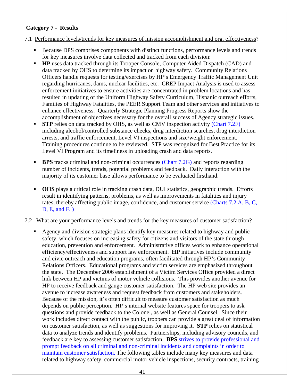#### **Category 7 - Results**

- 7.1 Performance levels/trends for key measures of mission accomplishment and org. effectiveness?
	- Because DPS comprises components with distinct functions, performance levels and trends for key measures involve data collected and tracked from each division:
	- **HP** uses data tracked through its Trooper Console, Computer Aided Dispatch (CAD) and data tracked by OHS to determine its impact on highway safety. Community Relations Officers handle requests for testing/exercises by HP's Emergency Traffic Management Unit regarding hurricanes, dams, nuclear facilities, etc. CREP Impact Analysis is used to assess enforcement initiatives to ensure activities are concentrated in problem locations and has resulted in updating of the Uniform Highway Safety Curriculum, Hispanic outreach efforts, Families of Highway Fatalities, the PEER Support Team and other services and initiatives to enhance effectiveness. Quarterly Strategic Planning Progress Reports show the accomplishment of objectives necessary for the overall success of Agency strategic issues.
	- **STP** relies on data tracked by OHS, as well as CMV inspection activity (Chart 7.2F) including alcohol/controlled substance checks, drug interdiction searches, drug interdiction arrests, and traffic enforcement, Level VI inspections and size/weight enforcement. Training procedures continue to be reviewed. STP was recognized for Best Practice for its Level VI Program and its timeliness in uploading crash and data reports.
	- **BPS** tracks criminal and non-criminal occurrences (Chart 7.2G) and reports regarding number of incidents, trends, potential problems and feedback. Daily interaction with the majority of its customer base allows performance to be evaluated firsthand.
	- **OHS** plays a critical role in tracking crash data, DUI statistics, geographic trends. Efforts result in identifying patterns, problems, as well as improvements in fatalities and injury rates, thereby affecting public image, confidence, and customer service (Charts 7.2 A, B, C,  $D, E, and F.$ )

#### 7.2 What are your performance levels and trends for the key measures of customer satisfaction?

 Agency and division strategic plans identify key measures related to highway and public safety, which focuses on increasing safety for citizens and visitors of the state through education, prevention and enforcement. Administrative offices work to enhance operational efficiency/effectiveness and support law enforcement. **HP** initiatives include community and civic outreach and education programs, often facilitated through HP's Community Relations Officers. Educational programs and victim services are emphasized throughout the state. The December 2006 establishment of a Victim Services Office provided a direct link between HP and victims of motor vehicle collisions. This provides another avenue for HP to receive feedback and gauge customer satisfaction. The HP web site provides an avenue to increase awareness and request feedback from customers and stakeholders. Because of the mission, it's often difficult to measure customer satisfaction as much depends on public perception. HP's internal website features space for troopers to ask questions and provide feedback to the Colonel, as well as General Counsel. Since their work includes direct contact with the public, troopers can provide a great deal of information on customer satisfaction, as well as suggestions for improving it. **STP** relies on statistical data to analyze trends and identify problems. Partnerships, including advisory councils, and feedback are key to assessing customer satisfaction. **BPS** strives to provide professional and prompt feedback on all criminal and non-criminal incidents and complaints in order to maintain customer satisfaction. The following tables include many key measures and data related to highway safety, commercial motor vehicle inspections, security contracts, training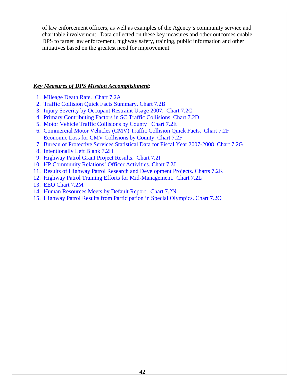of law enforcement officers, as well as examples of the Agency's community service and charitable involvement. Data collected on these key measures and other outcomes enable DPS to target law enforcement, highway safety, training, public information and other initiatives based on the greatest need for improvement.

#### *Key Measures of DPS Mission Accomplishment*:

- 1. Mileage Death Rate. Chart 7.2A
- 2. Traffic Collision Quick Facts Summary. Chart 7.2B
- 3. Injury Severity by Occupant Restraint Usage 2007. Chart 7.2C
- 4. Primary Contributing Factors in SC Traffic Collisions. Chart 7.2D
- 5. Motor Vehicle Traffic Collisions by County Chart 7.2E
- 6. Commercial Motor Vehicles (CMV) Traffic Collision Quick Facts. Chart 7.2F Economic Loss for CMV Collisions by County. Chart 7.2F
- 7. Bureau of Protective Services Statistical Data for Fiscal Year 2007-2008 Chart 7.2G
- 8. Intentionally Left Blank 7.2H
- 9. Highway Patrol Grant Project Results. Chart 7.2I
- 10. HP Community Relations' Officer Activities. Chart 7.2J
- 11. Results of Highway Patrol Research and Development Projects. Charts 7.2K
- 12. Highway Patrol Training Efforts for Mid-Management. Chart 7.2L
- 13. EEO Chart 7.2M
- 14. Human Resources Meets by Default Report. Chart 7.2N
- 15. Highway Patrol Results from Participation in Special Olympics. Chart 7.2O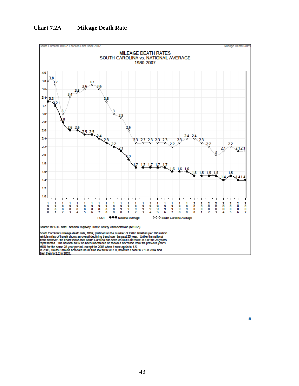**Chart 7.2A Mileage Death Rate** 

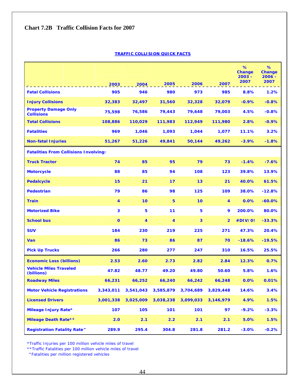#### **Chart 7.2B Traffic Collision Facts for 2007**

#### **TRAFFIC COLLISION QUICK FACTS**

|                                                  |             |             | 2005      | 2006      | 2007                    | %<br>Change<br>$2003 -$<br>2007 | %<br>Change<br>$2006 -$<br>2007 |
|--------------------------------------------------|-------------|-------------|-----------|-----------|-------------------------|---------------------------------|---------------------------------|
| <b>Fatal Collisions</b>                          | 2003<br>905 | 2004<br>946 | 980       | 973       | 985                     | 8.8%                            | 1.2%                            |
| <b>Injury Collisions</b>                         | 32,383      | 32,497      | 31,560    | 32,328    | 32,079                  | $-0.9%$                         | $-0.8%$                         |
| <b>Property Damage Only</b><br><b>Collisions</b> | 75,598      | 76,586      | 79,443    | 79,648    | 79,003                  | 4.5%                            | $-0.8%$                         |
| <b>Total Collisions</b>                          | 108,886     | 110,029     | 111,983   | 112,949   | 111,980                 | 2.8%                            | $-0.9%$                         |
| <b>Fatalities</b>                                | 969         | 1,046       | 1,093     | 1,044     | 1,077                   | 11.1%                           | 3.2%                            |
| <b>Non-fatal Injuries</b>                        | 51,267      | 51,226      | 49,841    | 50,144    | 49,262                  | $-3.9%$                         | $-1.8%$                         |
| <b>Fatalities From Collisions Involving:</b>     |             |             |           |           |                         |                                 |                                 |
| <b>Truck Tractor</b>                             | 74          | 85          | 95        | 79        | 73                      | $-1.4%$                         | $-7.6%$                         |
| <b>Motorcycle</b>                                | 88          | 85          | 94        | 108       | 123                     | 39.8%                           | 13.9%                           |
| <b>Pedalcycle</b>                                | 15          | 21          | 17        | 13        | 21                      | 40.0%                           | 61.5%                           |
| <b>Pedestrian</b>                                | 79          | 86          | 98        | 125       | 109                     | 38.0%                           | $-12.8%$                        |
| <b>Train</b>                                     | 4           | 10          | 5         | 10        | 4                       | 0.0%                            | $-60.0%$                        |
| <b>Motorized Bike</b>                            | 3           | 5           | 11        | 5         | 9                       | 200.0%                          | 80.0%                           |
| <b>School bus</b>                                | $\mathbf 0$ | 4           | 4         | 3         | $\overline{\mathbf{2}}$ | #DIV/0!                         | $-33.3%$                        |
| <b>SUV</b>                                       | 184         | 230         | 219       | 225       | 271                     | 47.3%                           | 20.4%                           |
| <b>Van</b>                                       | 86          | 73          | 86        | 87        | 70                      | $-18.6%$                        | $-19.5%$                        |
| <b>Pick Up Trucks</b>                            | 266         | 280         | 277       | 247       | 310                     | 16.5%                           | 25.5%                           |
| <b>Economic Loss (billions)</b>                  | 2.53        | 2.60        | 2.73      | 2.82      | 2.84                    | 12.3%                           | 0.7%                            |
| <b>Vehicle Miles Traveled</b><br>(billions)      | 47.82       | 48.77       | 49.20     | 49.80     | 50.60                   | 5.8%                            | 1.6%                            |
| <b>Roadway Miles</b>                             | 66,231      | 66,252      | 66,240    | 66,242    | 66,248                  | 0.0%                            | 0.01%                           |
| <b>Motor Vehicle Registrations</b>               | 3,343,011   | 3,541,043   | 3,585,879 | 3,704,689 | 3,829,448               | 14.6%                           | 3.4%                            |
| <b>Licensed Drivers</b>                          | 3,001,338   | 3,025,009   | 3,038,238 | 3,099,033 | 3,146,979               | 4.9%                            | 1.5%                            |
| Mileage Injury Rate*                             | 107         | 105         | 101       | 101       | 97                      | $-9.2%$                         | $-3.3%$                         |
| <b>Mileage Death Rate**</b>                      | 2.0         | 2.1         | 2.2       | 2.1       | 2.1                     | 5.0%                            | 1.5%                            |
| <b>Registration Fatality Rate</b> <sup>^</sup>   | 289.9       | 295.4       | 304.8     | 281.8     | 281.2                   | $-3.0%$                         | $-0.2%$                         |

\*Traffic Injuries per 100 million vehicle miles of travel

\*\*Traffic Fatalities per 100 million vehicle miles of travel

^Fatalities per million registered vehicles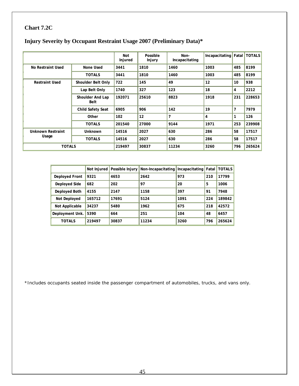# **Chart 7.2C**

|                       |                          | <b>Not</b><br>Injured | Possible<br>Injury | Non-<br>Incapacitating | Incapacitating | Fatal          | <b>TOTALS</b> |
|-----------------------|--------------------------|-----------------------|--------------------|------------------------|----------------|----------------|---------------|
| No Restraint Used     | None Used                | 3441                  | 1810               | 1460                   | 1003           | 485            | 8199          |
|                       | <b>TOTALS</b>            | 3441                  | 1810               | 1460                   | 1003           | 485            | 8199          |
| <b>Restraint Used</b> | Shoulder Belt Only       | 722                   | 145                | 49                     | 12             | 10             | 938           |
|                       | Lap Belt Only            | 1740                  | 327                | 123                    | 18             | 4              | 2212          |
|                       | Shoulder And Lap<br>Belt | 192071                | 25610              | 8823                   | 1918           | 231            | 228653        |
|                       | Child Safety Seat        | 6905                  | 906                | 142                    | 19             | $\overline{7}$ | 7979          |
|                       | Other                    | 102                   | 12                 | $\overline{7}$         | 4              | 1              | 126           |
|                       | <b>TOTALS</b>            | 201540                | 27000              | 9144                   | 1971           | 253            | 239908        |
| Unknown Restraint     | Unknown                  | 14516                 | 2027               | 630                    | 286            | 58             | 17517         |
| Usage                 | <b>TOTALS</b>            | 14516                 | 2027               | 630                    | 286            | 58             | 17517         |
| <b>TOTALS</b>         |                          | 219497                | 30837              | 11234                  | 3260           | 796            | 265624        |

# **Injury Severity by Occupant Restraint Usage 2007 (Preliminary Data)\***

|                       |        |       | Not Injured   Possible Injury   Non-Incapacitating   Incapacitating   Fatal |      |     | <b>TOTALS</b> |
|-----------------------|--------|-------|-----------------------------------------------------------------------------|------|-----|---------------|
| <b>Deployed Front</b> | 9321   | 4653  | 2642                                                                        | 973  | 210 | 17799         |
| Deployed Side         | 682    | 202   | 97                                                                          | 20   | 5   | 1006          |
| Deployed Both         | 4155   | 2147  | 1158                                                                        | 397  | 91  | 7948          |
| Not Deployed          | 165712 | 17691 | 5124                                                                        | 1091 | 224 | 189842        |
| Not Applicable        | 34237  | 5480  | 1962                                                                        | 675  | 218 | 42572         |
| Deployment Unk.       | 5390   | 664   | 251                                                                         | 104  | 48  | 6457          |
| <b>TOTALS</b>         | 219497 | 30837 | 11234                                                                       | 3260 | 796 | 265624        |

\*Includes occupants seated inside the passenger compartment of automobiles, trucks, and vans only.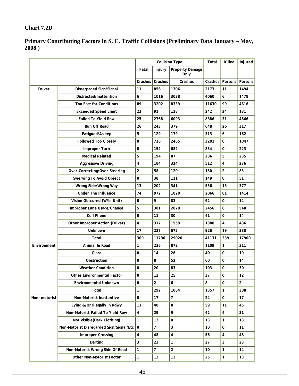# **Chart 7.2D**

# **Primary Contributing Factors in S. C. Traffic Collisions (Preliminary Data January – May, 2008 )**

|              |                                          | <b>Collision Type</b>   |                |                         | Total   | Killed                  | Injured        |
|--------------|------------------------------------------|-------------------------|----------------|-------------------------|---------|-------------------------|----------------|
|              |                                          | Fatal                   | Injury         | Property Damage<br>Only |         |                         |                |
|              |                                          | Crashes                 | Crashes        | Crashes                 | Crashes | Persons                 | Persons        |
| Driver       | Disregarded Sign/Signal                  | 11                      | 856            | 1306                    | 2173    | 11                      | 1494           |
|              | Distracted/Inattention                   | 6                       | 1016           | 3038                    | 4060    | 6                       | 1478           |
|              | <b>Too Fast for Conditions</b>           | 89                      | 3202           | 8339                    | 11630   | 99                      | 4616           |
|              | <b>Exceeded Speed Limit</b>              | 23                      | 91             | 128                     | 242     | 24                      | 131            |
|              | <b>Failed To Yield Row</b>               | 25                      | 2768           | 6093                    | 8886    | 31                      | 4646           |
|              | Run Off Road                             | 26                      | 243            | 379                     | 648     | 26                      | 317            |
|              | Fatigued/Asleep                          | 5                       | 129            | 179                     | 313     | $\boldsymbol{6}$        | 162            |
|              | <b>Followed Too Closely</b>              | $\pmb{0}$               | 736            | 2465                    | 3201    | 0                       | 1047           |
|              | Improper Turn                            | $\pmb{0}$               | 152            | 682                     | 834     | $\pmb{0}$               | 223            |
|              | <b>Medical Related</b>                   | $\sqrt{5}$              | 194            | 87                      | 286     | 5                       | 235            |
|              | <b>Aggressive Driving</b>                | $\overline{\mathbf{4}}$ | 184            | 324                     | 512     | $\overline{\mathbf{4}}$ | 276            |
|              | Over-Correcting/Over-Steering            | $\overline{c}$          | 58             | 120                     | 180     | $\mathbf 2$             | 83             |
|              | Swerving To Avoid Object                 | $\pmb{0}$               | 38             | 111                     | 149     | $\pmb{0}$               | 51             |
|              | Wrong Side/Wrong Way                     | 13                      | 202            | 341                     | 556     | 15                      | 377            |
|              | <b>Under The Influence</b>               | 74                      | 972            | 1020                    | 2066    | 81                      | 1414           |
|              | Vision Obscured (W/In Unit)              | $\pmb{0}$               | 9              | 83                      | 92      | $\pmb{0}$               | 14             |
|              | Improper Lane Usage/Change               | 5                       | 381            | 2070                    | 2456    | $\boldsymbol{6}$        | 548            |
|              | <b>Cell Phone</b>                        | $\pmb{0}$               | 11             | 30                      | 41      | 0                       | 14             |
|              | Other Improper Action (Driver)           | $\overline{4}$          | 317            | 1559                    | 1880    | $\overline{\mathbf{4}}$ | 436            |
|              | Unknown                                  | 17                      | 237            | 672                     | 926     | 19                      | 338            |
|              | Total                                    | 309                     | 11796          | 29026                   | 41131   | 339                     | 17900          |
| Environment  | Animal In Road                           | 1                       | 236            | 872                     | 1109    | $\mathbf{1}$            | 311            |
|              | Glare                                    | $\pmb{0}$               | 14             | 26                      | 40      | 0                       | 19             |
|              | Obstruction                              | $\mathbf 0$             | 8              | 52                      | 60      | $\pmb{0}$               | 14             |
|              | <b>Weather Condition</b>                 | $\pmb{0}$               | 20             | 83                      | 103     | 0                       | 30             |
|              | <b>Other Environmental Factor</b>        | $\pmb{0}$               | 12             | 25                      | 37      | $\pmb{0}$               | 12             |
|              | Environmental Unknown                    | $\pmb{0}$               | $\overline{2}$ | 6                       | 8       | $\mathbf 0$             | $\overline{2}$ |
|              | Total                                    | 1                       | 292            | 1064                    | 1357    | $\mathbf{1}$            | 388            |
| Non-motorist | Non-Motorist Inattentive                 | $\mathbf 0$             | 17             | $\overline{7}$          | 24      | $\pmb{0}$               | 17             |
|              | Lying &/Or Illegally In Rdwy             | 11                      | 40             | 8                       | 59      | 11                      | 45             |
|              | Non-Motorist Failed To Yield Row         | $\overline{\mathbf{4}}$ | 29             | 9                       | 42      | $\overline{\mathbf{4}}$ | 31             |
|              | Not Visible(Dark Clothing)               | $\mathbf{1}$            | 12             | $\mathsf 0$             | 13      | $\mathbf{1}$            | 13             |
|              | Non-Motorist Disregarded Sign/Signal/Etc | $\pmb{0}$               | $\overline{7}$ | 3                       | 10      | $\pmb{0}$               | 11             |
|              | <b>Improper Crossing</b>                 | 4                       | 48             | $\overline{4}$          | 56      | $\overline{4}$          | 48             |
|              | Darting                                  | 3                       | 23             | $\mathbf{1}$            | 27      | $\mathbf{3}$            | 23             |
|              | Non-Motorist Wrong Side Of Road          | 1                       | $\overline{7}$ | $\overline{2}$          | 10      | $\mathbf{1}$            | 14             |
|              | Other Non-Motorist Factor                | $\mathbf{1}$            | 12             | 12                      | 25      | $\mathbf{1}$            | 13             |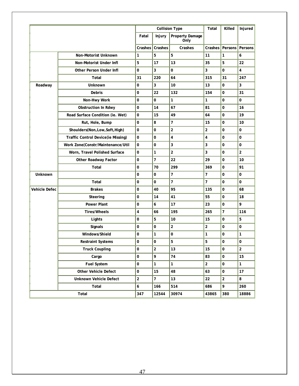|                      |                                    |                         |                | <b>Collision Type</b>   | Total          | Killed      | Injured         |
|----------------------|------------------------------------|-------------------------|----------------|-------------------------|----------------|-------------|-----------------|
|                      |                                    | Fatal                   | Injury         | Property Damage<br>Only |                |             |                 |
|                      |                                    | Crashes                 | Crashes        | Crashes                 | Crashes        |             | Persons Persons |
|                      | Non-Motorist Unknown               | 1                       | 5              | 5                       | 11             | 1           | 6               |
|                      | Non-Motorist Under Infl            | 5                       | 17             | 13                      | 35             | 5           | 22              |
|                      | Other Person Under Infl            | 0                       | 3              | 0                       | 3              | 0           | 4               |
|                      | Total                              | 31                      | 220            | 64                      | 315            | 31          | 247             |
| Roadway              | Unknown                            | 0                       | 3              | 10                      | 13             | 0           | 3               |
|                      | Debris                             | 0                       | 22             | 132                     | 154            | 0           | 31              |
|                      | Non-Hwy Work                       | 0                       | $\mathbf 0$    | $\mathbf{1}$            | 1              | 0           | $\mathbf 0$     |
|                      | <b>Obstruction In Rdwy</b>         | 0                       | 14             | 67                      | 81             | 0           | 16              |
|                      | Road Surface Condition (ie. Wet)   | $\mathbf 0$             | 15             | 49                      | 64             | $\mathbf 0$ | 19              |
|                      | Rut, Hole, Bump                    | $\pmb{0}$               | 8              | $\overline{7}$          | 15             | 0           | 10              |
|                      | Shoulders(Non, Low, Soft, High)    | $\pmb{0}$               | $\mathbf 0$    | $\overline{2}$          | $\overline{2}$ | $\pmb{0}$   | $\mathbf 0$     |
|                      | Traffic Control Device(ie Missing) | $\pmb{0}$               | $\pmb{0}$      | 4                       | 4              | 0           | 0               |
|                      | Work Zone(Constr/Maintenance/Util  | $\pmb{0}$               | $\mathbf 0$    | 3                       | 3              | 0           | 0               |
|                      | Worn, Travel Polished Surface      | 0                       | 1              | $\overline{2}$          | 3              | 0           | $\overline{2}$  |
|                      | Other Roadway Factor               | 0                       | $\overline{7}$ | 22                      | 29             | $\mathbf 0$ | 10              |
|                      | Total                              | 0                       | 70             | 299                     | 369            | 0           | 91              |
| Unknown              |                                    | 0                       | $\mathbf 0$    | $\overline{7}$          | $\overline{7}$ | 0           | 0               |
|                      | Total                              | 0                       | $\mathbf 0$    | $\overline{7}$          | $\overline{7}$ | 0           | 0               |
| <b>Vehicle Defec</b> | <b>Brakes</b>                      | 0                       | 40             | 95                      | 135            | 0           | 68              |
|                      | Steering                           | 0                       | 14             | 41                      | 55             | 0           | 18              |
|                      | <b>Power Plant</b>                 | 0                       | 6              | 17                      | 23             | $\mathsf 0$ | 9               |
|                      | <b>Tires/Wheels</b>                | $\overline{\mathbf{4}}$ | 66             | 195                     | 265            | 7           | 116             |
|                      | Lights                             | 0                       | 5              | 10                      | 15             | 0           | 5               |
|                      | Signals                            | 0                       | $\mathsf 0$    | $\overline{2}$          | $\overline{2}$ | 0           | 0               |
|                      | Windows/Shield                     | 0                       | 1              | 0                       | 1              | 0           | 1               |
|                      | <b>Restraint Systems</b>           | 0                       | 0              | 5                       | 5              | 0           | 0               |
|                      | <b>Truck Coupling</b>              | 0                       | $\overline{2}$ | 13                      | 15             | $\pmb{0}$   | $\overline{2}$  |
|                      | Cargo                              | $\pmb{0}$               | 9              | 74                      | 83             | $\pmb{0}$   | 15              |
|                      | <b>Fuel System</b>                 | $\pmb{0}$               | $\mathbf{1}$   | $\mathbf{1}$            | $\mathbf 2$    | $\pmb{0}$   | $\mathbf{1}$    |
|                      | Other Vehicle Defect               | 0                       | 15             | 48                      | 63             | $\pmb{0}$   | 17              |
|                      | Unknown Vehicle Defect             | $\mathbf 2$             | $\overline{7}$ | 13                      | 22             | $\mathbf 2$ | 8               |
|                      | Total                              | 6                       | 166            | 514                     | 686            | 9           | 260             |
|                      | Total                              | 347                     | 12544          | 30974                   | 43865          | 380         | 18886           |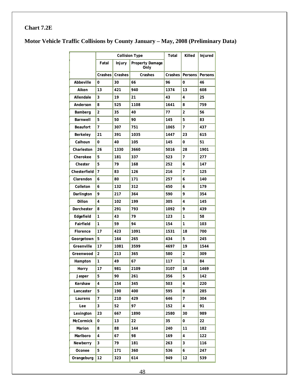# **Chart 7.2E**

# **Motor Vehicle Traffic Collisions by County January – May, 2008 (Preliminary Data)**

|                 | <b>Collision Type</b> |         | Total                   | Killed  | Injured |         |
|-----------------|-----------------------|---------|-------------------------|---------|---------|---------|
|                 | Fatal                 | Injury  | Property Damage<br>Only |         |         |         |
|                 | Crashes               | Crashes | Crashes                 | Crashes | Persons | Persons |
| Abbeville       | 0                     | 30      | 66                      | 96      | 0       | 46      |
| Aiken           | 13                    | 421     | 940                     | 1374    | 13      | 608     |
| Allendale       | 3                     | 19      | 21                      | 43      | 4       | 25      |
| Anderson        | 8                     | 525     | 1108                    | 1641    | 8       | 759     |
| Bamberg         | 2                     | 35      | 40                      | 77      | 2       | 56      |
| <b>Barnwell</b> | 5                     | 50      | 90                      | 145     | 5       | 83      |
| <b>Beaufort</b> | 7                     | 307     | 751                     | 1065    | 7       | 437     |
| Berkeley        | 21                    | 391     | 1035                    | 1447    | 23      | 615     |
| Calhoun         | 0                     | 40      | 105                     | 145     | 0       | 51      |
| Charleston      | 26                    | 1330    | 3660                    | 5016    | 28      | 1901    |
| Cherokee        | 5                     | 181     | 337                     | 523     | 7       | 277     |
| Chester         | 5                     | 79      | 168                     | 252     | 6       | 147     |
| Chesterfield    | 7                     | 83      | 126                     | 216     | 7       | 125     |
| Clarendon       | 6                     | 80      | 171                     | 257     | 6       | 140     |
| Colleton        | 6                     | 132     | 312                     | 450     | 6       | 179     |
| Darlington      | 9                     | 217     | 364                     | 590     | 9       | 354     |
| Dillon          | 4                     | 102     | 199                     | 305     | 4       | 145     |
| Dorchester      | 8                     | 291     | 793                     | 1092    | 9       | 439     |
| Edgefield       | 1                     | 43      | 79                      | 123     | 1       | 58      |
| Fairfield       | 1                     | 59      | 94                      | 154     | 1       | 103     |
| Florence        | 17                    | 423     | 1091                    | 1531    | 18      | 700     |
| Georgetown      | 5                     | 164     | 265                     | 434     | 5       | 245     |
| Greenville      | 17                    | 1081    | 3599                    | 4697    | 19      | 1544    |
| Greenwood       | 2                     | 213     | 365                     | 580     | 2       | 309     |
| Hampton         | 1                     | 49      | 67                      | 117     | 1       | 84      |
| Horry           | 17                    | 981     | 2109                    | 3107    | 18      | 1469    |
| Jasper          | 5                     | 90      | 261                     | 356     | 5       | 142     |
| Kershaw         | 4                     | 154     | 345                     | 503     | 4       | 220     |
| Lancaster       | 5                     | 190     | 400                     | 595     | 8       | 285     |
| Laurens         | 7                     | 210     | 429                     | 646     | 7       | 304     |
| Lee             | 3                     | 52      | 97                      | 152     | 4       | 91      |
| Lexington       | 23                    | 667     | 1890                    | 2580    | 30      | 989     |
| McCormick       | 0                     | 13      | 22                      | 35      | 0       | 22      |
| Marion          | 8                     | 88      | 144                     | 240     | 11      | 182     |
| Marlboro        | 4                     | 67      | 98                      | 169     | 4       | 122     |
| Newberry        | 3                     | 79      | 181                     | 263     | 3       | 116     |
| Oconee          | 5                     | 171     | 360                     | 536     | 6       | 247     |
| Orangeburg      | 12                    | 323     | 614                     | 949     | 12      | 539     |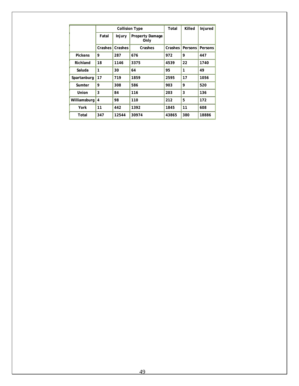|                |         |         | <b>Collision Type</b>          | Total   | Killed  | Injured |
|----------------|---------|---------|--------------------------------|---------|---------|---------|
|                | Fatal   | Injury  | <b>Property Damage</b><br>Only |         |         |         |
|                | Crashes | Crashes | Crashes                        | Crashes | Persons | Persons |
| <b>Pickens</b> | 9       | 287     | 676                            | 972     | 9       | 447     |
| Richland       | 18      | 1146    | 3375                           | 4539    | 22      | 1740    |
| Saluda         | 1       | 30      | 64                             | 95      | 1       | 49      |
| Spartanburg    | 17      | 719     | 1859                           | 2595    | 17      | 1056    |
| Sumter         | 9       | 308     | 586                            | 903     | 9       | 520     |
| Union          | 3       | 84      | 116                            | 203     | 3       | 136     |
| Williamsburg   | 4       | 98      | 110                            | 212     | 5       | 172     |
| York           | 11      | 442     | 1392                           | 1845    | 11      | 608     |
| Total          | 347     | 12544   | 30974                          | 43865   | 380     | 18886   |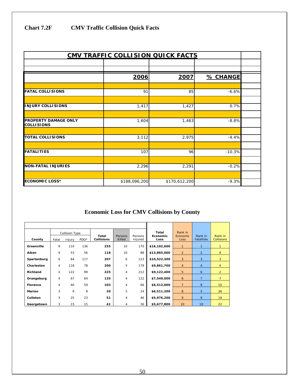| <b>CMV Traffic Collision Quick Facts</b><br><b>Chart 7.2F</b> |
|---------------------------------------------------------------|
|---------------------------------------------------------------|

| CMV TRAFFIC COLLISION QUICK FACTS         |               |               |                 |  |  |  |
|-------------------------------------------|---------------|---------------|-----------------|--|--|--|
|                                           |               |               |                 |  |  |  |
|                                           |               |               |                 |  |  |  |
|                                           | 2006          | 2007          | <b>% CHANGE</b> |  |  |  |
|                                           |               |               |                 |  |  |  |
| <b>FATAL COLLISIONS</b>                   | 91            | 85            | $-6.6%$         |  |  |  |
|                                           |               |               |                 |  |  |  |
| <b>INJURY COLLISIONS</b>                  | 1,417         | 1,427         | 0.7%            |  |  |  |
|                                           |               |               |                 |  |  |  |
| PROPERTY DAMAGE ONLY<br><b>COLLISIONS</b> | 1,604         | 1,463         | $-8.8%$         |  |  |  |
|                                           |               |               |                 |  |  |  |
| <b>TOTAL COLLISIONS</b>                   | 3,112         | 2,975         | $-4.4%$         |  |  |  |
|                                           |               |               |                 |  |  |  |
| <b>FATALITIES</b>                         | 107           | 96            | $-10.3%$        |  |  |  |
|                                           |               |               |                 |  |  |  |
| <b>NON-FATAL INJURIES</b>                 | 2,296         | 2,291         | $-0.2%$         |  |  |  |
|                                           |               |               |                 |  |  |  |
| <b>ECONOMIC LOSS*</b>                     | \$188,096,200 | \$170,612,200 | $-9.3%$         |  |  |  |

# **Economic Loss for CMV Collisions by County**

|                 |       | <b>Collision Type</b> |      | Total             | Persons        | Persons | Total<br>Economic | Rank in<br>Economic | Rank in           | Rank in           |
|-----------------|-------|-----------------------|------|-------------------|----------------|---------|-------------------|---------------------|-------------------|-------------------|
| County          | Fatal | Injury                | PDO* | <b>Collisions</b> | Killed         | Injured | Loss              | Loss                | <b>Fatalities</b> | <b>Collisions</b> |
| Greenville      | 9     | 110                   | 136  | 255               | 10             | 170     | \$16,102,600      | 1                   | 1                 | 1                 |
| Aiken           | 9     | 53                    | 56   | 118               | 10             | 88      | \$13,865,000      | $\overline{2}$      | $\overline{2}$    | 9                 |
| Spartanburg     | 6     | 84                    | 117  | 207               | 6              | 123     | \$10,522,300      | 3                   | 3                 | 3                 |
| Charleston      | 4     | 118                   | 78   | 200               | 5              | 179     | \$9,861,700       | $\overline{4}$      | $\overline{4}$    | 4                 |
| Richland        | 4     | 122                   | 99   | 225               | $\overline{4}$ | 212     | \$9,122,400       | 5                   | 6                 | $\overline{2}$    |
| Orangeburg      | 4     | 67                    | 64   | 135               | $\overline{4}$ | 122     | \$7,549,000       | 6                   | $\overline{7}$    | $\overline{7}$    |
| <b>Florence</b> | 4     | 40                    | 59   | 103               | $\overline{4}$ | 66      | \$6,512,000       | $\overline{7}$      | 8                 | 10 <sup>1</sup>   |
| <b>Marion</b>   | 3     | 9                     | 8    | 20                | 5              | 24      | \$6,511,200       | 8                   | 5                 | 36                |
| Colleton        | 3     | 25                    | 23   | 51                | $\overline{4}$ | 46      | \$5,976,200       | 9                   | 9                 | 19                |
| Georgetown      | 3     | 23                    | 15   | 41                | 4              | 36      | \$5,677,800       | 10                  | 10                | 22                |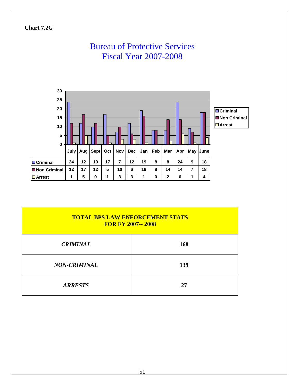### **Chart 7.2G**



| <b>TOTAL BPS LAW ENFORCEMENT STATS</b><br><b>FOR FY 2007--2008</b> |     |  |  |  |  |
|--------------------------------------------------------------------|-----|--|--|--|--|
| <b>CRIMINAL</b>                                                    | 168 |  |  |  |  |
| <b>NON-CRIMINAL</b>                                                | 139 |  |  |  |  |
| <b>ARRESTS</b>                                                     | 27  |  |  |  |  |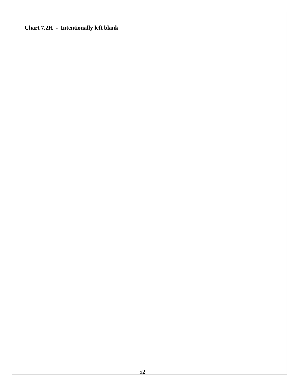# **Chart 7.2H - Intentionally left blank**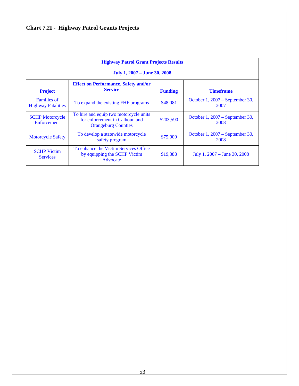# **Chart 7.2I - Highway Patrol Grants Projects**

| <b>Highway Patrol Grant Projects Results</b>    |                                                                                                        |                |                                         |  |  |  |  |
|-------------------------------------------------|--------------------------------------------------------------------------------------------------------|----------------|-----------------------------------------|--|--|--|--|
|                                                 | July 1, 2007 – June 30, 2008                                                                           |                |                                         |  |  |  |  |
| <b>Project</b>                                  | <b>Effect on Performance, Safety and/or</b><br><b>Service</b>                                          | <b>Funding</b> | <b>Timeframe</b>                        |  |  |  |  |
| <b>Families of</b><br><b>Highway Fatalities</b> | To expand the existing FHF programs                                                                    | \$48,081       | October 1, 2007 – September 30,<br>2007 |  |  |  |  |
| <b>SCHP Motorcycle</b><br>Enforcement           | To hire and equip two motorcycle units<br>for enforcement in Calhoun and<br><b>Orangeburg Counties</b> | \$203,590      | October 1, 2007 – September 30,<br>2008 |  |  |  |  |
| <b>Motorcycle Safety</b>                        | To develop a statewide motorcycle<br>safety program                                                    | \$75,000       | October 1, 2007 – September 30,<br>2008 |  |  |  |  |
| <b>SCHP Victim</b><br><b>Services</b>           | To enhance the Victim Services Office<br>by equipping the SCHP Victim<br>Advocate                      | \$19,388       | July 1, $2007 -$ June 30, $2008$        |  |  |  |  |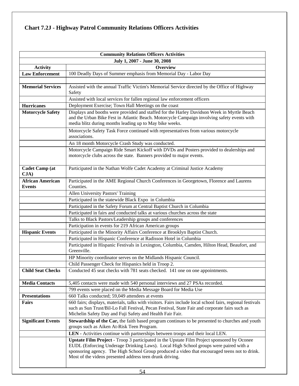# **Chart 7.2J - Highway Patrol Community Relations Officers Activities**

|                                          | <b>Community Relations Officers Activities</b>                                                                                                                                                                                                                                                                                                   |
|------------------------------------------|--------------------------------------------------------------------------------------------------------------------------------------------------------------------------------------------------------------------------------------------------------------------------------------------------------------------------------------------------|
|                                          | July 1, 2007 - June 30, 2008                                                                                                                                                                                                                                                                                                                     |
| <b>Activity</b>                          | <b>Overview</b>                                                                                                                                                                                                                                                                                                                                  |
| <b>Law Enforcement</b>                   | 100 Deadly Days of Summer emphasis from Memorial Day - Labor Day                                                                                                                                                                                                                                                                                 |
|                                          |                                                                                                                                                                                                                                                                                                                                                  |
| <b>Memorial Services</b>                 | Assisted with the annual Traffic Victim's Memorial Service directed by the Office of Highway<br>Safety                                                                                                                                                                                                                                           |
|                                          | Assisted with local services for fallen regional law enforcement officers                                                                                                                                                                                                                                                                        |
| <b>Hurricanes</b>                        | Deployment Exercise; Town Hall Meetings on the coast                                                                                                                                                                                                                                                                                             |
| <b>Motorcycle Safety</b>                 | Displays and booths were provided and staffed for the Harley Davidson Week in Myrtle Beach<br>and the Urban Bike Fest in Atlantic Beach. Motorcycle Campaign involving safety events with<br>media blitz during months leading up to May bike weeks.                                                                                             |
|                                          | Motorcycle Safety Task Force continued with representatives from various motorcycle<br>associations.                                                                                                                                                                                                                                             |
|                                          | An 18 month Motorcycle Crash Study was conducted.                                                                                                                                                                                                                                                                                                |
|                                          | Motorcycle Campaign Ride Smart Kickoff with DVDs and Posters provided to dealerships and<br>motorcycle clubs across the state. Banners provided to major events.                                                                                                                                                                                 |
| <b>Cadet Camp (at</b><br>CJA             | Participated in the Nathan Wolfe Cadet Academy at Criminal Justice Academy                                                                                                                                                                                                                                                                       |
| <b>African American</b><br><b>Events</b> | Participated in the AME Regional Church Conferences in Georgetown, Florence and Laurens<br>Counties.                                                                                                                                                                                                                                             |
|                                          | Allen University Pastors' Training                                                                                                                                                                                                                                                                                                               |
|                                          | Participated in the statewide Black Expo in Columbia                                                                                                                                                                                                                                                                                             |
|                                          | Participated in the Safety Forum at Central Baptist Church in Columbia                                                                                                                                                                                                                                                                           |
|                                          | Participated in fairs and conducted talks at various churches across the state                                                                                                                                                                                                                                                                   |
|                                          | Talks to Black Pastors/Leadership groups and conferences                                                                                                                                                                                                                                                                                         |
|                                          | Participation in events for 219 African American groups                                                                                                                                                                                                                                                                                          |
| <b>Hispanic Events</b>                   | Participated in the Minority Affairs Conference at Brooklyn Baptist Church.                                                                                                                                                                                                                                                                      |
|                                          | Participated in Hispanic Conference at Radisson Hotel in Columbia                                                                                                                                                                                                                                                                                |
|                                          | Participated in Hispanic Festivals in Lexington, Columbia, Camden, Hilton Head, Beaufort, and<br>Greenville.                                                                                                                                                                                                                                     |
|                                          | HP Minority coordinator serves on the Midlands Hispanic Council.                                                                                                                                                                                                                                                                                 |
|                                          | Child Passenger Check for Hispanics held in Troop 2.                                                                                                                                                                                                                                                                                             |
| <b>Child Seat Checks</b>                 | Conducted 45 seat checks with 781 seats checked. 141 one on one appointments.                                                                                                                                                                                                                                                                    |
| <b>Media Contacts</b>                    | 5,405 contacts were made with 540 personal interviews and 27 PSAs recorded.                                                                                                                                                                                                                                                                      |
|                                          | 799 events were placed on the Media Message Board for Media Use                                                                                                                                                                                                                                                                                  |
| <b>Presentations</b>                     | 660 Talks conducted; 59,049 attendees at events                                                                                                                                                                                                                                                                                                  |
| <b>Fairs</b>                             | 660 fairs; displays, materials, talks with visitors. Fairs include local school fairs, regional festivals<br>such as Sun Trust/Bil-Lo Fall Festival, Pecan Festival, State Fair and corporate fairs such as<br>Michelin Safety Day and Fuji Safety and Health Fair Fair.                                                                         |
| <b>Significant Events</b>                | Stewardship of the Car, the faith based program continues to be presented to churches and youth<br>groups such as Aiken At-Risk Teen Program.                                                                                                                                                                                                    |
|                                          | LEN - Activities continue with partnerships between troops and their local LEN.                                                                                                                                                                                                                                                                  |
|                                          | Upstate Film Project - Troop 3 participated in the Upstate Film Project sponsored by Oconee<br>EUDL (Enforcing Underage Drinking Laws). Local High School groups were paired with a<br>sponsoring agency. The High School Group produced a video that encouraged teens not to drink.<br>Most of the videos presented address teen drunk driving. |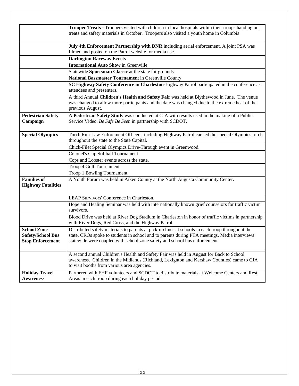|                                                                           | <b>Trooper Treats</b> - Troopers visited with children in local hospitals within their troops handing out<br>treats and safety materials in October. Troopers also visited a youth home in Columbia.                                                                           |  |  |
|---------------------------------------------------------------------------|--------------------------------------------------------------------------------------------------------------------------------------------------------------------------------------------------------------------------------------------------------------------------------|--|--|
|                                                                           | July 4th Enforcement Partnership with DNR including aerial enforcement. A joint PSA was<br>filmed and posted on the Patrol website for media use.                                                                                                                              |  |  |
|                                                                           | <b>Darlington Raceway Events</b>                                                                                                                                                                                                                                               |  |  |
|                                                                           | <b>International Auto Show in Greenville</b>                                                                                                                                                                                                                                   |  |  |
|                                                                           | Statewide Sportsman Classic at the state fairgrounds                                                                                                                                                                                                                           |  |  |
|                                                                           | National Bassmaster Tournament in Greenville County                                                                                                                                                                                                                            |  |  |
|                                                                           | SC Highway Safety Conference in Charleston-Highway Patrol participated in the conference as<br>attendees and presenters.                                                                                                                                                       |  |  |
|                                                                           | A third Annual Children's Health and Safety Fair was held at Blythewood in June. The venue<br>was changed to allow more participants and the date was changed due to the extreme heat of the<br>previous August.                                                               |  |  |
| <b>Pedestrian Safety</b><br>Campaign                                      | A Pedestrian Safety Study was conducted at CJA with results used in the making of a Public<br>Service Video, Be Safe Be Seen in partnership with SCDOT.                                                                                                                        |  |  |
| <b>Special Olympics</b>                                                   | Torch Run-Law Enforcment Officers, including Highway Patrol carried the special Olympics torch<br>throughout the state to the State Capital.                                                                                                                                   |  |  |
|                                                                           | Chick-Filet Special Olympics Drive-Through event in Greenwood.                                                                                                                                                                                                                 |  |  |
|                                                                           | Colonel's Cup Softball Tournament                                                                                                                                                                                                                                              |  |  |
|                                                                           | Cops and Lobster events across the state.                                                                                                                                                                                                                                      |  |  |
|                                                                           | Troop 4 Golf Tournament                                                                                                                                                                                                                                                        |  |  |
|                                                                           | Troop 1 Bowling Tournament                                                                                                                                                                                                                                                     |  |  |
| <b>Families of</b><br><b>Highway Fatalities</b>                           | A Youth Forum was held in Aiken County at the North Augusta Community Center.                                                                                                                                                                                                  |  |  |
|                                                                           | LEAP Survivors' Conference in Charleston.                                                                                                                                                                                                                                      |  |  |
|                                                                           | Hope and Healing Seminar was held with internationally known grief counselors for traffic victim<br>survivors.                                                                                                                                                                 |  |  |
|                                                                           | Blood Drive was held at River Dog Stadium in Charleston in honor of traffic victims in partnership<br>with River Dogs, Red Cross, and the Highway Patrol.                                                                                                                      |  |  |
| <b>School Zone</b><br><b>Safety/School Bus</b><br><b>Stop Enforcement</b> | Distributed safety materials to parents at pick-up lines at schools in each troop throughout the<br>state. CROs spoke to students in school and to parents during PTA meetings. Media interviews<br>statewide were coupled with school zone safety and school bus enforcement. |  |  |
|                                                                           | A second annual Children's Health and Safety Fair was held in August for Back to School<br>awareness. Children in the Midlands (Richland, Lexignton and Kershaw Counties) came to CJA<br>to visit booths from various area agencies.                                           |  |  |
| <b>Holiday Travel</b><br><b>Awareness</b>                                 | Partnered with FHF volunteers and SCDOT to distribute materials at Welcome Centers and Rest<br>Areas in each troop during each holiday period.                                                                                                                                 |  |  |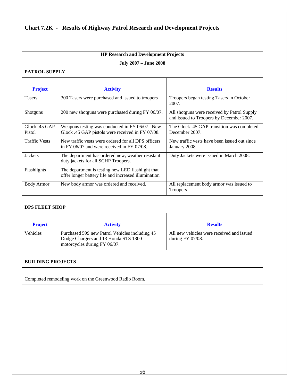# **Chart 7.2K - Results of Highway Patrol Research and Development Projects**

| <b>HP Research and Development Projects</b> |                                                                                                           |                                                                                         |  |  |  |
|---------------------------------------------|-----------------------------------------------------------------------------------------------------------|-----------------------------------------------------------------------------------------|--|--|--|
|                                             | <b>July 2007 – June 2008</b>                                                                              |                                                                                         |  |  |  |
| PATROL SUPPLY                               |                                                                                                           |                                                                                         |  |  |  |
| <b>Project</b>                              | <b>Activity</b>                                                                                           | <b>Results</b>                                                                          |  |  |  |
| <b>Tasers</b>                               | 300 Tasers were purchased and issued to troopers                                                          | Troopers began testing Tasers in October<br>2007.                                       |  |  |  |
| Shotguns                                    | 200 new shotguns were purchased during FY 06/07.                                                          | All shotguns were received by Patrol Supply<br>and issued to Troopers by December 2007. |  |  |  |
| Glock 45 GAP<br>Pistol                      | Weapons testing was conducted in FY 06/07. New<br>Glock .45 GAP pistols were received in FY 07/08.        | The Glock .45 GAP transition was completed<br>December 2007.                            |  |  |  |
| <b>Traffic Vests</b>                        | New traffic vests were ordered for all DPS officers<br>in FY 06/07 and were received in FY 07/08.         | New traffic vests have been issued out since<br>January 2008.                           |  |  |  |
| <b>Jackets</b>                              | The department has ordered new, weather resistant<br>duty jackets for all SCHP Troopers.                  | Duty Jackets were issued in March 2008.                                                 |  |  |  |
| Flashlights                                 | The department is testing new LED flashlight that<br>offer longer battery life and increased illumination |                                                                                         |  |  |  |
| <b>Body Armor</b>                           | New body armor was ordered and received.                                                                  | All replacement body armor was issued to<br>Troopers                                    |  |  |  |

### **DPS FLEET SHOP**

| <b>Project</b>  | <b>Activity</b>                                                                                                        | <b>Results</b>                                                  |
|-----------------|------------------------------------------------------------------------------------------------------------------------|-----------------------------------------------------------------|
| <b>Vehicles</b> | Purchased 599 new Patrol Vehicles including 45<br>Dodge Chargers and 13 Honda STS 1300<br>motorcycles during FY 06/07. | All new vehicles were received and issued<br>during $FY$ 07/08. |

#### **BUILDING PROJECTS**

Completed remodeling work on the Greenwood Radio Room.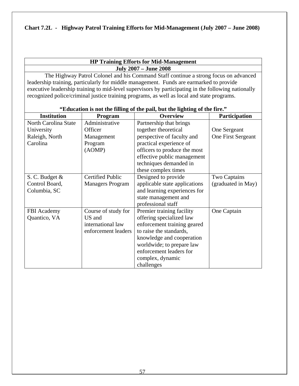# **Chart 7.2L - Highway Patrol Training Efforts for Mid-Management (July 2007 – June 2008)**

#### **HP Training Efforts for Mid-Management July 2007 – June 2008**

The Highway Patrol Colonel and his Command Staff continue a strong focus on advanced leadership training, particularly for middle management. Funds are earmarked to provide executive leadership training to mid-level supervisors by participating in the following nationally recognized police/criminal justice training programs, as well as local and state programs.

| Laucanon is not the name of the pan, but the nghting of the met |                         |                               |                     |  |
|-----------------------------------------------------------------|-------------------------|-------------------------------|---------------------|--|
| <b>Institution</b>                                              | Program                 | <b>Overview</b>               | Participation       |  |
| North Carolina State                                            | Administrative          | Partnership that brings       |                     |  |
| University                                                      | Officer                 | together theoretical          | One Sergeant        |  |
| Raleigh, North                                                  | Management              | perspective of faculty and    | One First Sergeant  |  |
| Carolina                                                        | Program                 | practical experience of       |                     |  |
|                                                                 | (AOMP)                  | officers to produce the most  |                     |  |
|                                                                 |                         | effective public management   |                     |  |
|                                                                 |                         | techniques demanded in        |                     |  |
|                                                                 |                         | these complex times           |                     |  |
| S. C. Budget &                                                  | <b>Certified Public</b> | Designed to provide           | <b>Two Captains</b> |  |
| Control Board,                                                  | <b>Managers Program</b> | applicable state applications | (graduated in May)  |  |
| Columbia, SC                                                    |                         | and learning experiences for  |                     |  |
|                                                                 |                         | state management and          |                     |  |
|                                                                 |                         | professional staff            |                     |  |
| <b>FBI</b> Academy                                              | Course of study for     | Premier training facility     | One Captain         |  |
| Quantico, VA                                                    | US and                  | offering specialized law      |                     |  |
|                                                                 | international law       | enforcement training geared   |                     |  |
|                                                                 | enforcement leaders     | to raise the standards,       |                     |  |
|                                                                 |                         | knowledge and cooperation     |                     |  |
|                                                                 |                         | worldwide; to prepare law     |                     |  |
|                                                                 |                         | enforcement leaders for       |                     |  |
|                                                                 |                         | complex, dynamic              |                     |  |
|                                                                 |                         | challenges                    |                     |  |

#### **"Education is not the filling of the pail, but the lighting of the fire."**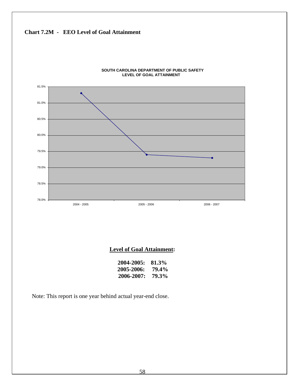

# **Chart 7.2M - EEO Level of Goal Attainment**

Note: This report is one year behind actual year-end close.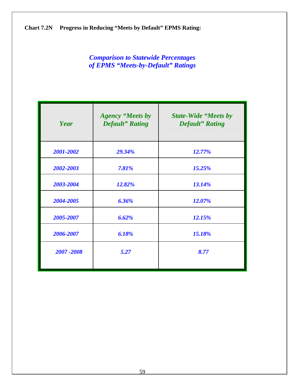# **Chart 7.2N Progress in Reducing "Meets by Default" EPMS Rating:**

*Comparison to Statewide Percentages of EPMS "Meets-by-Default" Ratings* 

| Year      | <b>Agency "Meets by</b><br><b>Default</b> " Rating | <b>State-Wide "Meets by</b><br><b>Default</b> " Rating |
|-----------|----------------------------------------------------|--------------------------------------------------------|
| 2001-2002 | 29.34%                                             | 12.77%                                                 |
| 2002-2003 | 7.81%                                              | 15.25%                                                 |
| 2003-2004 | 12.82%                                             | 13.14%                                                 |
| 2004-2005 | 6.36%                                              | 12.07%                                                 |
| 2005-2007 | 6.62%                                              | 12.15%                                                 |
| 2006-2007 | 6.18%                                              | 15.18%                                                 |
| 2007-2008 | 5.27                                               | 8.77                                                   |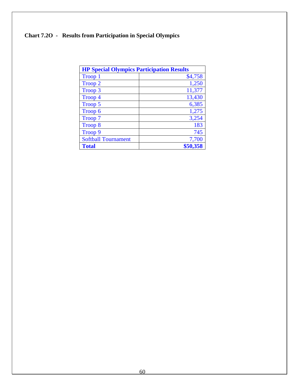# **Chart 7.2O - Results from Participation in Special Olympics**

| <b>HP Special Olympics Participation Results</b> |          |
|--------------------------------------------------|----------|
| Troop 1                                          | \$4,758  |
| Troop 2                                          | 1,250    |
| Troop 3                                          | 11,377   |
| Troop 4                                          | 13,430   |
| Troop 5                                          | 6,385    |
| Troop 6                                          | 1,275    |
| Troop 7                                          | 3,254    |
| Troop 8                                          | 183      |
| Troop 9                                          | 745      |
| <b>Softball Tournament</b>                       | 7,700    |
| <b>Total</b>                                     | \$50,358 |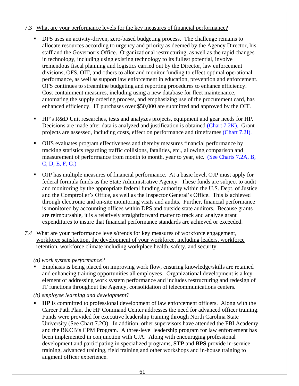#### 7.3 What are your performance levels for the key measures of financial performance?

- **DPS** uses an activity-driven, zero-based budgeting process. The challenge remains to allocate resources according to urgency and priority as deemed by the Agency Director, his staff and the Governor's Office. Organizational restructuring, as well as the rapid changes in technology, including using existing technology to its fullest potential, involve tremendous fiscal planning and logistics carried out by the Director, law enforcement divisions, OFS, OIT, and others to allot and monitor funding to effect optimal operational performance, as well as support law enforcement in education, prevention and enforcement. OFS continues to streamline budgeting and reporting procedures to enhance efficiency. Cost containment measures, including using a new database for fleet maintenance, automating the supply ordering process, and emphasizing use of the procurement card, has enhanced efficiency. IT purchases over \$50,000 are submitted and approved by the OIT.
- HP's R&D Unit researches, tests and analyzes projects, equipment and gear needs for HP. Decisions are made after data is analyzed and justification is obtained (Chart 7.2K). Grant projects are assessed, including costs, effect on performance and timeframes (Chart 7.2I).
- OHS evaluates program effectiveness and thereby measures financial performance by tracking statistics regarding traffic collisions, fatalities, etc., allowing comparison and measurement of performance from month to month, year to year, etc. (See Charts 7.2A, B, C, D, E, F, G.)
- OJP has multiple measures of financial performance. At a basic level, OJP must apply for federal formula funds as the State Administrative Agency. These funds are subject to audit and monitoring by the appropriate federal funding authority within the U.S. Dept. of Justice and the Comptroller's Office, as well as the Inspector General's Office. This is achieved through electronic and on-site monitoring visits and audits. Further, financial performance is monitored by accounting offices within DPS and outside state auditors. Because grants are reimbursable, it is a relatively straightforward matter to track and analyze grant expenditures to insure that financial performance standards are achieved or exceeded.
- *7.4* What are your performance levels/trends for key measures of workforce engagement, workforce satisfaction, the development of your workforce, including leaders, workforce retention, workforce climate including workplace health, safety, and security.

 *(a) work system performance?* 

- Emphasis is being placed on improving work flow, ensuring knowledge/skills are retained and enhancing training opportunities all employees. Organizational development is a key element of addressing work system performance and includes restructuring and redesign of IT functions throughout the Agency, consolidation of telecommunications centers.
- *(b) employee learning and development?*
- **HP** is committed to professional development of law enforcement officers. Along with the Career Path Plan, the HP Command Center addresses the need for advanced officer training. Funds were provided for executive leadership training through North Carolina State University (See Chart 7.2O). In addition, other supervisors have attended the FBI Academy and the B&CB's CPM Program. A three-level leadership program for law enforcement has been implemented in conjunction with CJA. Along with encouraging professional development and participating in specialized programs, **STP** and **BPS** provide in-service training, advanced training, field training and other workshops and in-house training to augment officer experience.